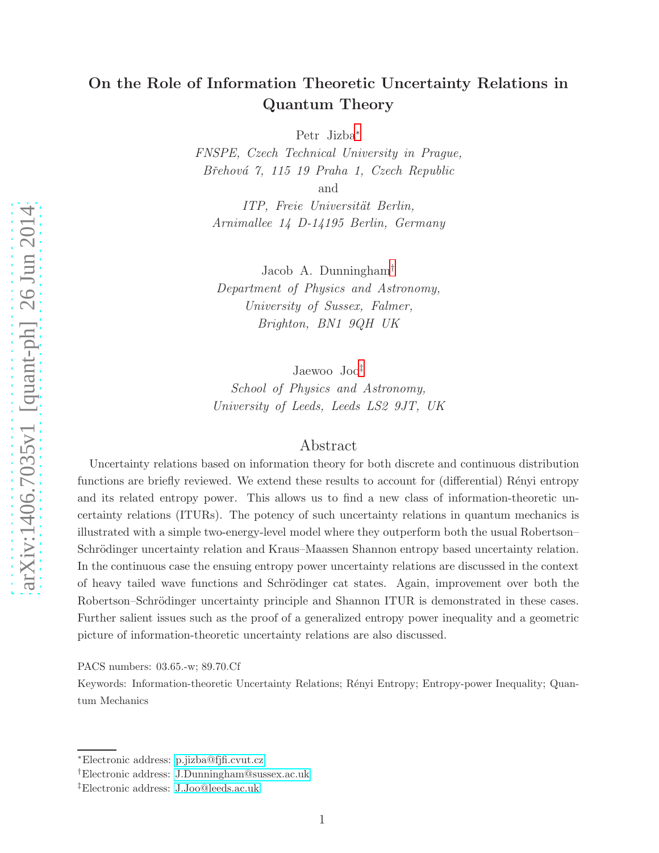# On the Role of Information Theoretic Uncertainty Relations in Quantum Theory

Petr Jizba[∗](#page-0-0)

FNSPE, Czech Technical University in Prague, Břehová 7, 115 19 Praha 1, Czech Republic

and

ITP, Freie Universität Berlin, Arnimallee 14 D-14195 Berlin, Germany

Jacob A. Dunningham[†](#page-0-1) Department of Physics and Astronomy, University of Sussex, Falmer, Brighton, BN1 9QH UK

Jaewoo Joo[‡](#page-0-2) School of Physics and Astronomy, University of Leeds, Leeds LS2 9JT, UK

## Abstract

Uncertainty relations based on information theory for both discrete and continuous distribution functions are briefly reviewed. We extend these results to account for (differential) Rényi entropy and its related entropy power. This allows us to find a new class of information-theoretic uncertainty relations (ITURs). The potency of such uncertainty relations in quantum mechanics is illustrated with a simple two-energy-level model where they outperform both the usual Robertson– Schrödinger uncertainty relation and Kraus–Maassen Shannon entropy based uncertainty relation. In the continuous case the ensuing entropy power uncertainty relations are discussed in the context of heavy tailed wave functions and Schrödinger cat states. Again, improvement over both the Robertson–Schrödinger uncertainty principle and Shannon ITUR is demonstrated in these cases. Further salient issues such as the proof of a generalized entropy power inequality and a geometric picture of information-theoretic uncertainty relations are also discussed.

PACS numbers: 03.65.-w; 89.70.Cf

Keywords: Information-theoretic Uncertainty Relations; Rényi Entropy; Entropy-power Inequality; Quantum Mechanics

<span id="page-0-0"></span><sup>∗</sup>Electronic address: [p.jizba@fjfi.cvut.cz](mailto:p.jizba@fjfi.cvut.cz)

<span id="page-0-1"></span><sup>†</sup>Electronic address: [J.Dunningham@sussex.ac.uk](mailto:J.Dunningham@sussex.ac.uk)

<span id="page-0-2"></span><sup>‡</sup>Electronic address: [J.Joo@leeds.ac.uk](mailto:J.Joo@leeds.ac.uk)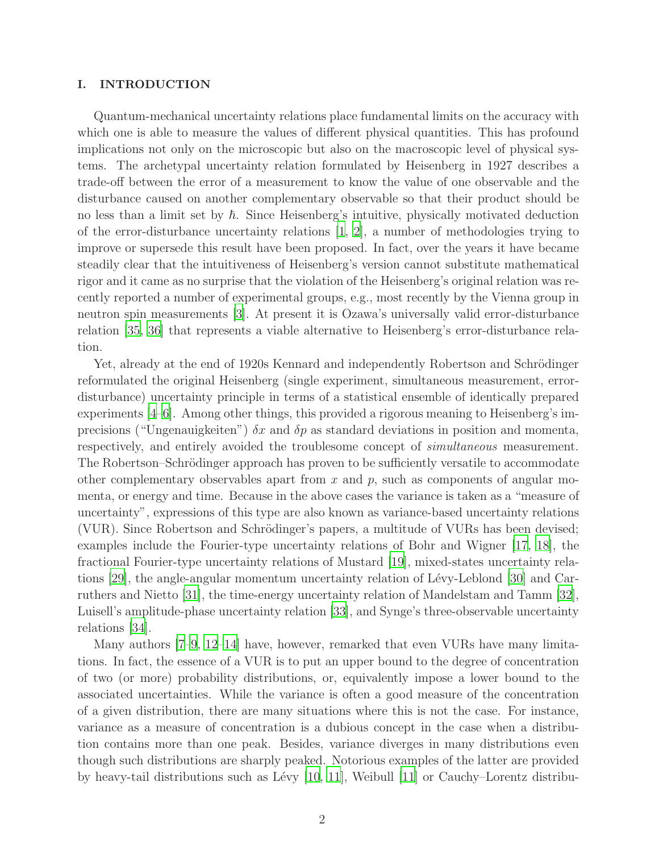## I. INTRODUCTION

Quantum-mechanical uncertainty relations place fundamental limits on the accuracy with which one is able to measure the values of different physical quantities. This has profound implications not only on the microscopic but also on the macroscopic level of physical systems. The archetypal uncertainty relation formulated by Heisenberg in 1927 describes a trade-off between the error of a measurement to know the value of one observable and the disturbance caused on another complementary observable so that their product should be no less than a limit set by  $\hbar$ . Since Heisenberg's intuitive, physically motivated deduction of the error-disturbance uncertainty relations [\[1,](#page-34-0) [2\]](#page-34-1), a number of methodologies trying to improve or supersede this result have been proposed. In fact, over the years it have became steadily clear that the intuitiveness of Heisenberg's version cannot substitute mathematical rigor and it came as no surprise that the violation of the Heisenberg's original relation was recently reported a number of experimental groups, e.g., most recently by the Vienna group in neutron spin measurements [\[3](#page-34-2)]. At present it is Ozawa's universally valid error-disturbance relation [\[35](#page-35-0), [36](#page-35-1)] that represents a viable alternative to Heisenberg's error-disturbance relation.

Yet, already at the end of 1920s Kennard and independently Robertson and Schrödinger reformulated the original Heisenberg (single experiment, simultaneous measurement, errordisturbance) uncertainty principle in terms of a statistical ensemble of identically prepared experiments [\[4](#page-34-3)[–6](#page-34-4)]. Among other things, this provided a rigorous meaning to Heisenberg's imprecisions ("Ungenauigkeiten")  $\delta x$  and  $\delta p$  as standard deviations in position and momenta, respectively, and entirely avoided the troublesome concept of simultaneous measurement. The Robertson–Schrödinger approach has proven to be sufficiently versatile to accommodate other complementary observables apart from  $x$  and  $p$ , such as components of angular momenta, or energy and time. Because in the above cases the variance is taken as a "measure of uncertainty", expressions of this type are also known as variance-based uncertainty relations (VUR). Since Robertson and Schrödinger's papers, a multitude of VURs has been devised; examples include the Fourier-type uncertainty relations of Bohr and Wigner [\[17,](#page-34-5) [18](#page-34-6)], the fractional Fourier-type uncertainty relations of Mustard [\[19](#page-34-7)], mixed-states uncertainty relations  $[29]$ , the angle-angular momentum uncertainty relation of Lévy-Leblond  $[30]$  and Carruthers and Nietto [\[31\]](#page-35-4), the time-energy uncertainty relation of Mandelstam and Tamm [\[32\]](#page-35-5), Luisell's amplitude-phase uncertainty relation [\[33](#page-35-6)], and Synge's three-observable uncertainty relations [\[34\]](#page-35-7).

Many authors [\[7](#page-34-8)[–9](#page-34-9), [12](#page-34-10)[–14\]](#page-34-11) have, however, remarked that even VURs have many limitations. In fact, the essence of a VUR is to put an upper bound to the degree of concentration of two (or more) probability distributions, or, equivalently impose a lower bound to the associated uncertainties. While the variance is often a good measure of the concentration of a given distribution, there are many situations where this is not the case. For instance, variance as a measure of concentration is a dubious concept in the case when a distribution contains more than one peak. Besides, variance diverges in many distributions even though such distributions are sharply peaked. Notorious examples of the latter are provided by heavy-tail distributions such as Lévy  $[10, 11]$  $[10, 11]$ , Weibull  $[11]$  or Cauchy–Lorentz distribu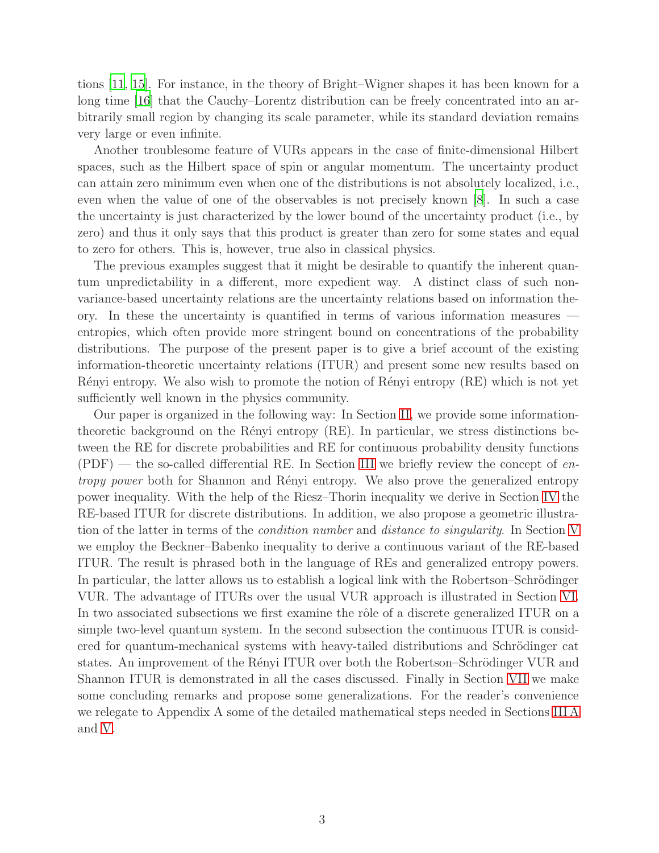tions [\[11,](#page-34-13) 15]. For instance, in the theory of Bright–Wigner shapes it has been known for a long time [\[16\]](#page-34-14) that the Cauchy–Lorentz distribution can be freely concentrated into an arbitrarily small region by changing its scale parameter, while its standard deviation remains very large or even infinite.

Another troublesome feature of VURs appears in the case of finite-dimensional Hilbert spaces, such as the Hilbert space of spin or angular momentum. The uncertainty product can attain zero minimum even when one of the distributions is not absolutely localized, i.e., even when the value of one of the observables is not precisely known [\[8\]](#page-34-15). In such a case the uncertainty is just characterized by the lower bound of the uncertainty product (i.e., by zero) and thus it only says that this product is greater than zero for some states and equal to zero for others. This is, however, true also in classical physics.

The previous examples suggest that it might be desirable to quantify the inherent quantum unpredictability in a different, more expedient way. A distinct class of such nonvariance-based uncertainty relations are the uncertainty relations based on information theory. In these the uncertainty is quantified in terms of various information measures  $\overline{\phantom{a}}$ entropies, which often provide more stringent bound on concentrations of the probability distributions. The purpose of the present paper is to give a brief account of the existing information-theoretic uncertainty relations (ITUR) and present some new results based on Rényi entropy. We also wish to promote the notion of Rényi entropy (RE) which is not yet sufficiently well known in the physics community.

Our paper is organized in the following way: In Section [II,](#page-3-0) we provide some informationtheoretic background on the Rényi entropy  $(RE)$ . In particular, we stress distinctions between the RE for discrete probabilities and RE for continuous probability density functions  $(PDF)$  — the so-called differential RE. In Section [III](#page-5-0) we briefly review the concept of entropy power both for Shannon and Rényi entropy. We also prove the generalized entropy power inequality. With the help of the Riesz–Thorin inequality we derive in Section [IV](#page-9-0) the RE-based ITUR for discrete distributions. In addition, we also propose a geometric illustration of the latter in terms of the condition number and distance to singularity. In Section [V](#page-15-0) we employ the Beckner–Babenko inequality to derive a continuous variant of the RE-based ITUR. The result is phrased both in the language of REs and generalized entropy powers. In particular, the latter allows us to establish a logical link with the Robertson–Schrödinger VUR. The advantage of ITURs over the usual VUR approach is illustrated in Section [VI.](#page-19-0) In two associated subsections we first examine the rôle of a discrete generalized ITUR on a simple two-level quantum system. In the second subsection the continuous ITUR is considered for quantum-mechanical systems with heavy-tailed distributions and Schrödinger cat states. An improvement of the Rényi ITUR over both the Robertson–Schrödinger VUR and Shannon ITUR is demonstrated in all the cases discussed. Finally in Section [VII](#page-30-0) we make some concluding remarks and propose some generalizations. For the reader's convenience we relegate to Appendix A some of the detailed mathematical steps needed in Sections [III A](#page-5-1) and [V.](#page-15-0)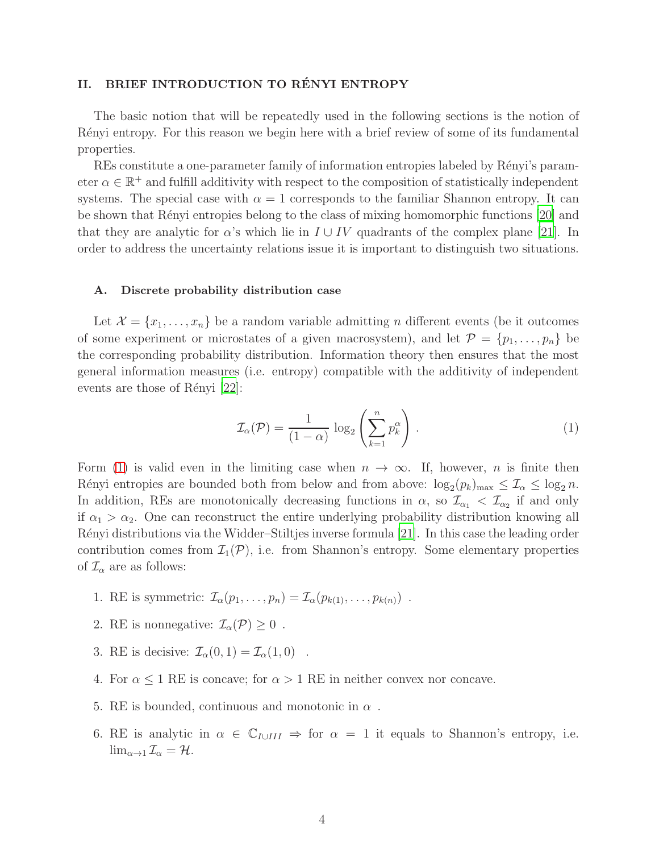## <span id="page-3-0"></span>II. BRIEF INTRODUCTION TO RÉNYI ENTROPY

The basic notion that will be repeatedly used in the following sections is the notion of Rényi entropy. For this reason we begin here with a brief review of some of its fundamental properties.

REs constitute a one-parameter family of information entropies labeled by Rényi's parameter  $\alpha \in \mathbb{R}^+$  and fulfill additivity with respect to the composition of statistically independent systems. The special case with  $\alpha = 1$  corresponds to the familiar Shannon entropy. It can be shown that Rényi entropies belong to the class of mixing homomorphic functions [\[20\]](#page-34-16) and that they are analytic for  $\alpha$ 's which lie in  $I \cup IV$  quadrants of the complex plane [\[21](#page-34-17)]. In order to address the uncertainty relations issue it is important to distinguish two situations.

### A. Discrete probability distribution case

Let  $\mathcal{X} = \{x_1, \ldots, x_n\}$  be a random variable admitting *n* different events (be it outcomes of some experiment or microstates of a given macrosystem), and let  $\mathcal{P} = \{p_1, \ldots, p_n\}$  be the corresponding probability distribution. Information theory then ensures that the most general information measures (i.e. entropy) compatible with the additivity of independent events are those of Rényi  $[22]$ :

<span id="page-3-1"></span>
$$
\mathcal{I}_{\alpha}(\mathcal{P}) = \frac{1}{(1-\alpha)} \log_2 \left( \sum_{k=1}^n p_k^{\alpha} \right).
$$
 (1)

Form [\(1\)](#page-3-1) is valid even in the limiting case when  $n \to \infty$ . If, however, n is finite then Rényi entropies are bounded both from below and from above:  $\log_2(p_k)_{\text{max}} \leq \mathcal{I}_{\alpha} \leq \log_2 n$ . In addition, REs are monotonically decreasing functions in  $\alpha$ , so  $\mathcal{I}_{\alpha_1} < \mathcal{I}_{\alpha_2}$  if and only if  $\alpha_1 > \alpha_2$ . One can reconstruct the entire underlying probability distribution knowing all R´enyi distributions via the Widder–Stiltjes inverse formula [\[21](#page-34-17)]. In this case the leading order contribution comes from  $\mathcal{I}_1(\mathcal{P})$ , i.e. from Shannon's entropy. Some elementary properties of  $\mathcal{I}_{\alpha}$  are as follows:

- 1. RE is symmetric:  $\mathcal{I}_{\alpha}(p_1,\ldots,p_n)=\mathcal{I}_{\alpha}(p_{k(1)},\ldots,p_{k(n)})$ .
- 2. RE is nonnegative:  $\mathcal{I}_{\alpha}(\mathcal{P}) \geq 0$ .
- 3. RE is decisive:  $\mathcal{I}_{\alpha}(0, 1) = \mathcal{I}_{\alpha}(1, 0)$ .
- 4. For  $\alpha \leq 1$  RE is concave; for  $\alpha > 1$  RE in neither convex nor concave.
- 5. RE is bounded, continuous and monotonic in  $\alpha$ .
- 6. RE is analytic in  $\alpha \in \mathbb{C}_{I \cup III} \Rightarrow$  for  $\alpha = 1$  it equals to Shannon's entropy, i.e.  $\lim_{\alpha\to 1} \mathcal{I}_{\alpha} = \mathcal{H}.$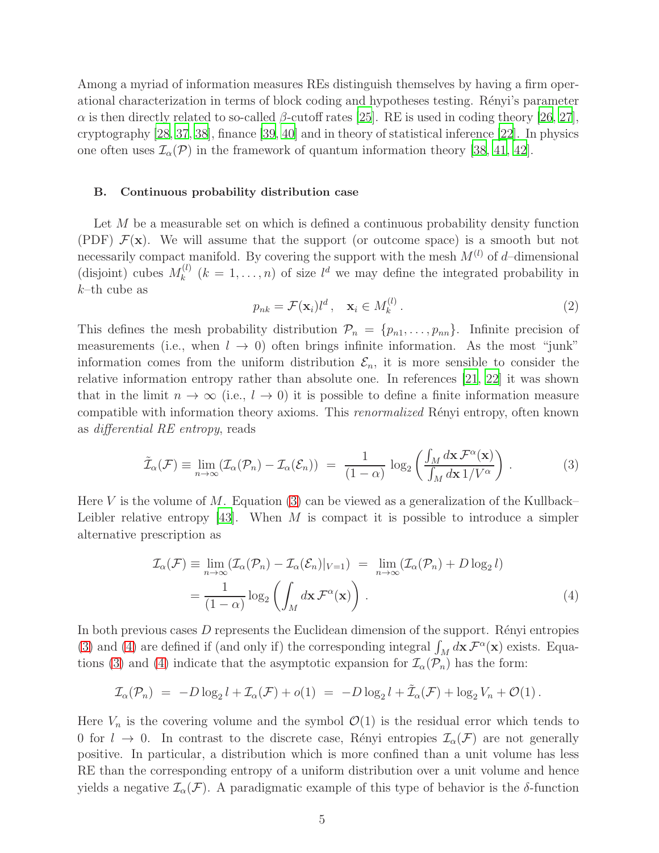Among a myriad of information measures REs distinguish themselves by having a firm operational characterization in terms of block coding and hypotheses testing. Rényi's parameter α is then directly related to so-called β-cutoff rates [\[25\]](#page-34-19). RE is used in coding theory [\[26,](#page-34-20) [27\]](#page-34-21), cryptography [\[28,](#page-34-22) [37](#page-35-8), [38](#page-35-9)], finance [\[39](#page-35-10), [40\]](#page-35-11) and in theory of statistical inference [\[22\]](#page-34-18). In physics one often uses  $\mathcal{I}_{\alpha}(\mathcal{P})$  in the framework of quantum information theory [\[38,](#page-35-9) [41,](#page-35-12) [42\]](#page-35-13).

#### B. Continuous probability distribution case

Let  $M$  be a measurable set on which is defined a continuous probability density function (PDF)  $\mathcal{F}(\mathbf{x})$ . We will assume that the support (or outcome space) is a smooth but not necessarily compact manifold. By covering the support with the mesh  $M^{(l)}$  of d–dimensional (disjoint) cubes  $M_k^{(l)}$  $k_k^{(l)}$   $(k = 1, \ldots, n)$  of size  $l^d$  we may define the integrated probability in  $k$ –th cube as

$$
p_{nk} = \mathcal{F}(\mathbf{x}_i)l^d, \quad \mathbf{x}_i \in M_k^{(l)}.
$$
 (2)

This defines the mesh probability distribution  $\mathcal{P}_n = \{p_{n1}, \ldots, p_{nn}\}.$  Infinite precision of measurements (i.e., when  $l \rightarrow 0$ ) often brings infinite information. As the most "junk" information comes from the uniform distribution  $\mathcal{E}_n$ , it is more sensible to consider the relative information entropy rather than absolute one. In references [\[21](#page-34-17), [22\]](#page-34-18) it was shown that in the limit  $n \to \infty$  (i.e.,  $l \to 0$ ) it is possible to define a finite information measure compatible with information theory axioms. This *renormalized* Rényi entropy, often known as differential RE entropy, reads

<span id="page-4-0"></span>
$$
\tilde{\mathcal{I}}_{\alpha}(\mathcal{F}) \equiv \lim_{n \to \infty} (\mathcal{I}_{\alpha}(\mathcal{P}_n) - \mathcal{I}_{\alpha}(\mathcal{E}_n)) = \frac{1}{(1-\alpha)} \log_2 \left( \frac{\int_M d\mathbf{x} \,\mathcal{F}^{\alpha}(\mathbf{x})}{\int_M d\mathbf{x} \, 1/V^{\alpha}} \right).
$$
 (3)

Here V is the volume of M. Equation [\(3\)](#page-4-0) can be viewed as a generalization of the Kullback– Leibler relative entropy [\[43](#page-35-14)]. When M is compact it is possible to introduce a simpler alternative prescription as

<span id="page-4-1"></span>
$$
\mathcal{I}_{\alpha}(\mathcal{F}) \equiv \lim_{n \to \infty} (\mathcal{I}_{\alpha}(\mathcal{P}_n) - \mathcal{I}_{\alpha}(\mathcal{E}_n)|_{V=1}) = \lim_{n \to \infty} (\mathcal{I}_{\alpha}(\mathcal{P}_n) + D \log_2 l)
$$

$$
= \frac{1}{(1-\alpha)} \log_2 \left( \int_M d\mathbf{x} \, \mathcal{F}^{\alpha}(\mathbf{x}) \right). \tag{4}
$$

In both previous cases  $D$  represents the Euclidean dimension of the support. Rényi entropies [\(3\)](#page-4-0) and [\(4\)](#page-4-1) are defined if (and only if) the corresponding integral  $\int_M d\mathbf{x} \mathcal{F}^{\alpha}(\mathbf{x})$  exists. Equa-tions [\(3\)](#page-4-0) and [\(4\)](#page-4-1) indicate that the asymptotic expansion for  $\mathcal{I}_{\alpha}(\mathcal{P}_n)$  has the form:

$$
\mathcal{I}_{\alpha}(\mathcal{P}_n) = -D \log_2 l + \mathcal{I}_{\alpha}(\mathcal{F}) + o(1) = -D \log_2 l + \tilde{\mathcal{I}}_{\alpha}(\mathcal{F}) + \log_2 V_n + \mathcal{O}(1).
$$

Here  $V_n$  is the covering volume and the symbol  $\mathcal{O}(1)$  is the residual error which tends to 0 for  $l \to 0$ . In contrast to the discrete case, Rényi entropies  $\mathcal{I}_{\alpha}(\mathcal{F})$  are not generally positive. In particular, a distribution which is more confined than a unit volume has less RE than the corresponding entropy of a uniform distribution over a unit volume and hence yields a negative  $\mathcal{I}_{\alpha}(\mathcal{F})$ . A paradigmatic example of this type of behavior is the  $\delta$ -function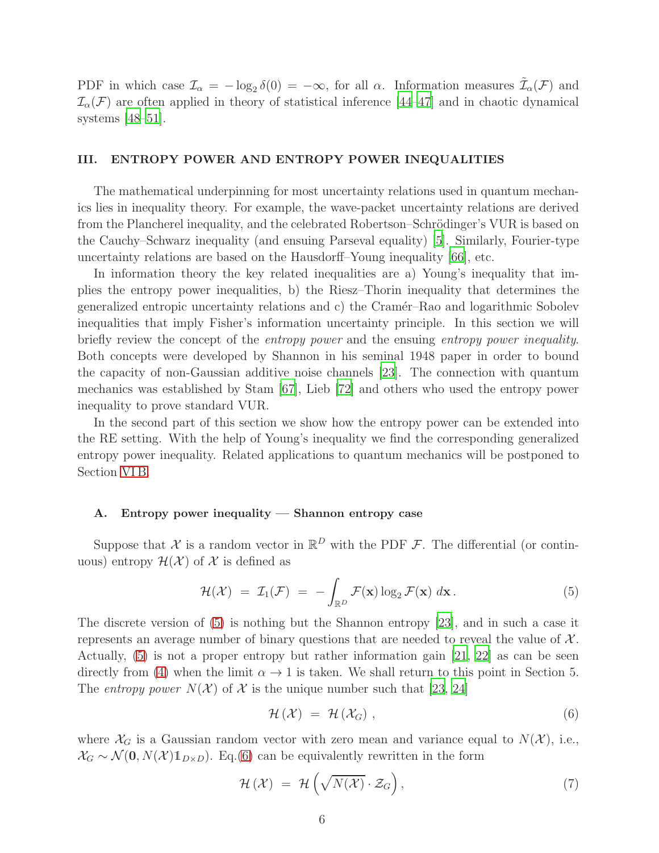PDF in which case  $\mathcal{I}_{\alpha} = -\log_2 \delta(0) = -\infty$ , for all  $\alpha$ . Information measures  $\tilde{\mathcal{I}}_{\alpha}(\mathcal{F})$  and  $\mathcal{I}_{\alpha}(\mathcal{F})$  are often applied in theory of statistical inference [\[44](#page-35-15)[–47](#page-35-16)] and in chaotic dynamical systems [\[48](#page-35-17)[–51\]](#page-35-18).

### <span id="page-5-0"></span>III. ENTROPY POWER AND ENTROPY POWER INEQUALITIES

The mathematical underpinning for most uncertainty relations used in quantum mechanics lies in inequality theory. For example, the wave-packet uncertainty relations are derived from the Plancherel inequality, and the celebrated Robertson–Schrödinger's VUR is based on the Cauchy–Schwarz inequality (and ensuing Parseval equality) [\[5\]](#page-34-23). Similarly, Fourier-type uncertainty relations are based on the Hausdorff–Young inequality [\[66](#page-36-0)], etc.

In information theory the key related inequalities are a) Young's inequality that implies the entropy power inequalities, b) the Riesz–Thorin inequality that determines the generalized entropic uncertainty relations and c) the Cram´er–Rao and logarithmic Sobolev inequalities that imply Fisher's information uncertainty principle. In this section we will briefly review the concept of the entropy power and the ensuing entropy power inequality. Both concepts were developed by Shannon in his seminal 1948 paper in order to bound the capacity of non-Gaussian additive noise channels [\[23\]](#page-34-24). The connection with quantum mechanics was established by Stam [\[67\]](#page-36-1), Lieb [\[72](#page-36-2)] and others who used the entropy power inequality to prove standard VUR.

In the second part of this section we show how the entropy power can be extended into the RE setting. With the help of Young's inequality we find the corresponding generalized entropy power inequality. Related applications to quantum mechanics will be postponed to Section [VI B.](#page-23-0)

#### <span id="page-5-1"></span>A. Entropy power inequality — Shannon entropy case

Suppose that X is a random vector in  $\mathbb{R}^D$  with the PDF  $\mathcal{F}$ . The differential (or continuous) entropy  $\mathcal{H}(\mathcal{X})$  of X is defined as

<span id="page-5-2"></span>
$$
\mathcal{H}(\mathcal{X}) = \mathcal{I}_1(\mathcal{F}) = -\int_{\mathbb{R}^D} \mathcal{F}(\mathbf{x}) \log_2 \mathcal{F}(\mathbf{x}) \, d\mathbf{x} \,.
$$
 (5)

The discrete version of [\(5\)](#page-5-2) is nothing but the Shannon entropy [\[23](#page-34-24)], and in such a case it represents an average number of binary questions that are needed to reveal the value of  $\mathcal{X}$ . Actually, [\(5\)](#page-5-2) is not a proper entropy but rather information gain [\[21](#page-34-17), [22\]](#page-34-18) as can be seen directly from [\(4\)](#page-4-1) when the limit  $\alpha \to 1$  is taken. We shall return to this point in Section 5. The entropy power  $N(\mathcal{X})$  of  $\mathcal X$  is the unique number such that [\[23](#page-34-24), [24](#page-34-25)]

<span id="page-5-3"></span>
$$
\mathcal{H}(\mathcal{X}) = \mathcal{H}(\mathcal{X}_G), \qquad (6)
$$

where  $\mathcal{X}_G$  is a Gaussian random vector with zero mean and variance equal to  $N(\mathcal{X})$ , i.e.,  $\mathcal{X}_G \sim \mathcal{N}(0, N(\mathcal{X}) \mathbb{1}_{D \times D})$ . Eq.[\(6\)](#page-5-3) can be equivalently rewritten in the form

<span id="page-5-4"></span>
$$
\mathcal{H}(\mathcal{X}) = \mathcal{H}\left(\sqrt{N(\mathcal{X})} \cdot \mathcal{Z}_G\right),\tag{7}
$$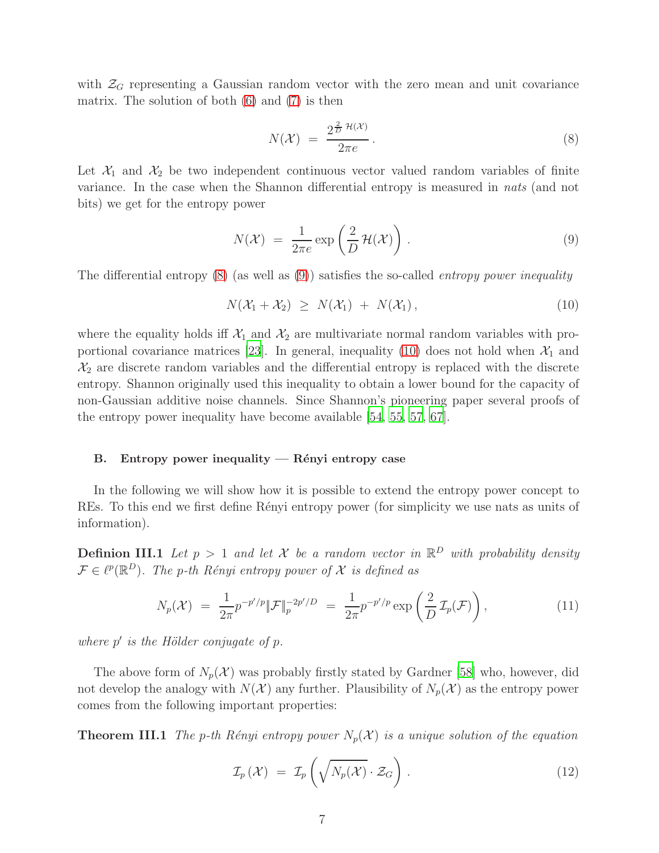with  $\mathcal{Z}_G$  representing a Gaussian random vector with the zero mean and unit covariance matrix. The solution of both  $(6)$  and  $(7)$  is then

<span id="page-6-0"></span>
$$
N(\mathcal{X}) = \frac{2^{\frac{2}{D}\mathcal{H}(\mathcal{X})}}{2\pi e}.
$$
\n(8)

Let  $\mathcal{X}_1$  and  $\mathcal{X}_2$  be two independent continuous vector valued random variables of finite variance. In the case when the Shannon differential entropy is measured in nats (and not bits) we get for the entropy power

<span id="page-6-1"></span>
$$
N(\mathcal{X}) = \frac{1}{2\pi e} \exp\left(\frac{2}{D} \mathcal{H}(\mathcal{X})\right).
$$
 (9)

The differential entropy  $(8)$  (as well as  $(9)$ ) satisfies the so-called *entropy power inequality* 

<span id="page-6-2"></span>
$$
N(\mathcal{X}_1+\mathcal{X}_2) \geq N(\mathcal{X}_1) + N(\mathcal{X}_1), \qquad (10)
$$

where the equality holds iff  $\mathcal{X}_1$  and  $\mathcal{X}_2$  are multivariate normal random variables with pro-portional covariance matrices [\[23\]](#page-34-24). In general, inequality [\(10\)](#page-6-2) does not hold when  $\mathcal{X}_1$  and  $\mathcal{X}_2$  are discrete random variables and the differential entropy is replaced with the discrete entropy. Shannon originally used this inequality to obtain a lower bound for the capacity of non-Gaussian additive noise channels. Since Shannon's pioneering paper several proofs of the entropy power inequality have become available [\[54](#page-35-19), [55](#page-35-20), [57,](#page-35-21) [67\]](#page-36-1).

#### B. Entropy power inequality  $-$  Rényi entropy case

In the following we will show how it is possible to extend the entropy power concept to REs. To this end we first define Rényi entropy power (for simplicity we use nats as units of information).

**Definion III.1** Let  $p > 1$  and let X be a random vector in  $\mathbb{R}^D$  with probability density  $\mathcal{F} \in \ell^p(\mathbb{R}^D)$ . The p-th Rényi entropy power of X is defined as

<span id="page-6-4"></span>
$$
N_p(\mathcal{X}) = \frac{1}{2\pi} p^{-p'/p} \| \mathcal{F} \|_p^{-2p'/D} = \frac{1}{2\pi} p^{-p'/p} \exp\left(\frac{2}{D} \mathcal{I}_p(\mathcal{F})\right), \tag{11}
$$

where  $p'$  is the Hölder conjugate of  $p$ .

The above form of  $N_p(\mathcal{X})$  was probably firstly stated by Gardner [\[58](#page-35-22)] who, however, did not develop the analogy with  $N(\mathcal{X})$  any further. Plausibility of  $N_p(\mathcal{X})$  as the entropy power comes from the following important properties:

**Theorem III.1** The p-th Rényi entropy power  $N_p(\mathcal{X})$  is a unique solution of the equation

<span id="page-6-3"></span>
$$
\mathcal{I}_p(\mathcal{X}) = \mathcal{I}_p\left(\sqrt{N_p(\mathcal{X})} \cdot \mathcal{Z}_G\right). \tag{12}
$$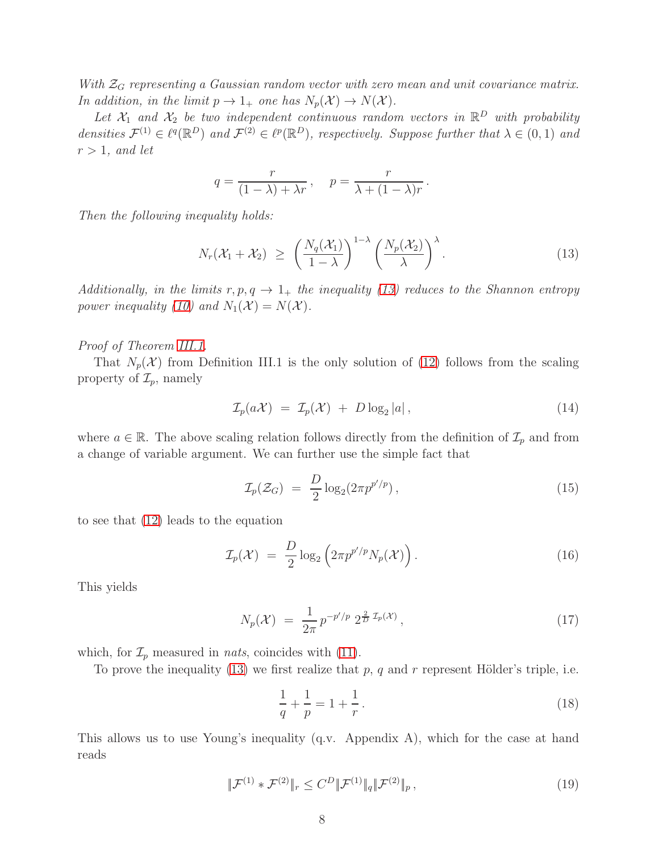With  $\mathcal{Z}_G$  representing a Gaussian random vector with zero mean and unit covariance matrix. In addition, in the limit  $p \to 1_+$  one has  $N_p(\mathcal{X}) \to N(\mathcal{X})$ .

Let  $X_1$  and  $X_2$  be two independent continuous random vectors in  $\mathbb{R}^D$  with probability densities  $\mathcal{F}^{(1)} \in \ell^q(\mathbb{R}^D)$  and  $\mathcal{F}^{(2)} \in \ell^p(\mathbb{R}^D)$ , respectively. Suppose further that  $\lambda \in (0,1)$  and  $r > 1$ , and let

$$
q = \frac{r}{(1 - \lambda) + \lambda r}, \quad p = \frac{r}{\lambda + (1 - \lambda)r}.
$$

Then the following inequality holds:

<span id="page-7-0"></span>
$$
N_r(\mathcal{X}_1 + \mathcal{X}_2) \ge \left(\frac{N_q(\mathcal{X}_1)}{1-\lambda}\right)^{1-\lambda} \left(\frac{N_p(\mathcal{X}_2)}{\lambda}\right)^{\lambda}.
$$
\n(13)

Additionally, in the limits  $r, p, q \rightarrow 1_+$  the inequality [\(13\)](#page-7-0) reduces to the Shannon entropy power inequality [\(10\)](#page-6-2) and  $N_1(\mathcal{X}) = N(\mathcal{X})$ .

### Proof of Theorem [III.1.](#page-7-0)

That  $N_p(\mathcal{X})$  from Definition III.1 is the only solution of [\(12\)](#page-6-3) follows from the scaling property of  $\mathcal{I}_p$ , namely

<span id="page-7-2"></span>
$$
\mathcal{I}_p(a\mathcal{X}) = \mathcal{I}_p(\mathcal{X}) + D \log_2 |a|, \qquad (14)
$$

where  $a \in \mathbb{R}$ . The above scaling relation follows directly from the definition of  $\mathcal{I}_p$  and from a change of variable argument. We can further use the simple fact that

<span id="page-7-3"></span>
$$
\mathcal{I}_p(\mathcal{Z}_G) = \frac{D}{2} \log_2(2\pi p^{p'/p}), \qquad (15)
$$

to see that [\(12\)](#page-6-3) leads to the equation

$$
\mathcal{I}_p(\mathcal{X}) = \frac{D}{2} \log_2 \left( 2\pi p^{p'/p} N_p(\mathcal{X}) \right). \tag{16}
$$

This yields

$$
N_p(\mathcal{X}) = \frac{1}{2\pi} p^{-p'/p} 2^{\frac{2}{D} \mathcal{I}_p(\mathcal{X})}, \qquad (17)
$$

which, for  $\mathcal{I}_p$  measured in *nats*, coincides with [\(11\)](#page-6-4).

To prove the inequality [\(13\)](#page-7-0) we first realize that  $p, q$  and  $r$  represent Hölder's triple, i.e.

$$
\frac{1}{q} + \frac{1}{p} = 1 + \frac{1}{r}.
$$
\n(18)

This allows us to use Young's inequality (q.v. Appendix A), which for the case at hand reads

<span id="page-7-1"></span>
$$
\|\mathcal{F}^{(1)} * \mathcal{F}^{(2)}\|_{r} \le C^{D} \|\mathcal{F}^{(1)}\|_{q} \|\mathcal{F}^{(2)}\|_{p},\tag{19}
$$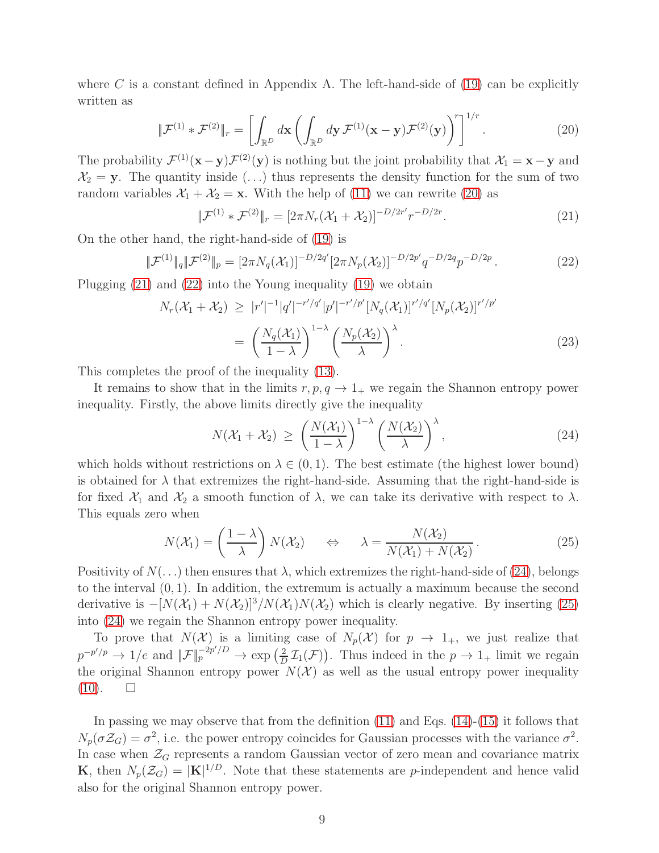where  $C$  is a constant defined in Appendix A. The left-hand-side of  $(19)$  can be explicitly written as

<span id="page-8-0"></span>
$$
\|\mathcal{F}^{(1)} * \mathcal{F}^{(2)}\|_{r} = \left[\int_{\mathbb{R}^D} d\mathbf{x} \left(\int_{\mathbb{R}^D} d\mathbf{y} \mathcal{F}^{(1)}(\mathbf{x} - \mathbf{y}) \mathcal{F}^{(2)}(\mathbf{y})\right)^{r}\right]^{1/r}.
$$
 (20)

The probability  $\mathcal{F}^{(1)}(\mathbf{x}-\mathbf{y})\mathcal{F}^{(2)}(\mathbf{y})$  is nothing but the joint probability that  $\mathcal{X}_1 = \mathbf{x}-\mathbf{y}$  and  $\mathcal{X}_2 = \mathbf{y}$ . The quantity inside (...) thus represents the density function for the sum of two random variables  $X_1 + X_2 = \mathbf{x}$ . With the help of [\(11\)](#page-6-4) we can rewrite [\(20\)](#page-8-0) as

<span id="page-8-1"></span>
$$
\|\mathcal{F}^{(1)} * \mathcal{F}^{(2)}\|_{r} = [2\pi N_{r}(\mathcal{X}_{1} + \mathcal{X}_{2})]^{-D/2r'} r^{-D/2r}.
$$
\n(21)

On the other hand, the right-hand-side of [\(19\)](#page-7-1) is

<span id="page-8-2"></span>
$$
\|\mathcal{F}^{(1)}\|_{q}\|\mathcal{F}^{(2)}\|_{p} = \left[2\pi N_{q}(\mathcal{X}_{1})\right]^{-D/2q'}\left[2\pi N_{p}(\mathcal{X}_{2})\right]^{-D/2p'}q^{-D/2q}p^{-D/2p}.
$$
\n(22)

Plugging [\(21\)](#page-8-1) and [\(22\)](#page-8-2) into the Young inequality [\(19\)](#page-7-1) we obtain

$$
N_r(\mathcal{X}_1 + \mathcal{X}_2) \ge |r'|^{-1} |q'|^{-r'/q'} |p'|^{-r'/p'} [N_q(\mathcal{X}_1)]^{r'/q'} [N_p(\mathcal{X}_2)]^{r'/p'}
$$
  
=  $\left(\frac{N_q(\mathcal{X}_1)}{1-\lambda}\right)^{1-\lambda} \left(\frac{N_p(\mathcal{X}_2)}{\lambda}\right)^{\lambda}$ . (23)

This completes the proof of the inequality [\(13\)](#page-7-0).

It remains to show that in the limits  $r, p, q \rightarrow 1_+$  we regain the Shannon entropy power inequality. Firstly, the above limits directly give the inequality

<span id="page-8-3"></span>
$$
N(\mathcal{X}_1 + \mathcal{X}_2) \ge \left(\frac{N(\mathcal{X}_1)}{1-\lambda}\right)^{1-\lambda} \left(\frac{N(\mathcal{X}_2)}{\lambda}\right)^{\lambda},\tag{24}
$$

which holds without restrictions on  $\lambda \in (0,1)$ . The best estimate (the highest lower bound) is obtained for  $\lambda$  that extremizes the right-hand-side. Assuming that the right-hand-side is for fixed  $\mathcal{X}_1$  and  $\mathcal{X}_2$  a smooth function of  $\lambda$ , we can take its derivative with respect to  $\lambda$ . This equals zero when

<span id="page-8-4"></span>
$$
N(\mathcal{X}_1) = \left(\frac{1-\lambda}{\lambda}\right)N(\mathcal{X}_2) \qquad \Leftrightarrow \qquad \lambda = \frac{N(\mathcal{X}_2)}{N(\mathcal{X}_1) + N(\mathcal{X}_2)}\,. \tag{25}
$$

Positivity of  $N(\ldots)$  then ensures that  $\lambda$ , which extremizes the right-hand-side of [\(24\)](#page-8-3), belongs to the interval  $(0, 1)$ . In addition, the extremum is actually a maximum because the second derivative is  $-[N(\mathcal{X}_1) + N(\mathcal{X}_2)]^3/N(\mathcal{X}_1)N(\mathcal{X}_2)$  which is clearly negative. By inserting [\(25\)](#page-8-4) into [\(24\)](#page-8-3) we regain the Shannon entropy power inequality.

To prove that  $N(\mathcal{X})$  is a limiting case of  $N_p(\mathcal{X})$  for  $p \to 1_+$ , we just realize that  $p^{-p'/p} \to 1/e$  and  $\|\mathcal{F}\|_p^{-2p'/D} \to \exp\left(\frac{2}{L}\right)$  $\frac{2}{D}\mathcal{I}_1(\mathcal{F})$ . Thus indeed in the  $p \to 1_+$  limit we regain the original Shannon entropy power  $N(\mathcal{X})$  as well as the usual entropy power inequality  $(10).$  $(10).$   $\Box$ 

In passing we may observe that from the definition  $(11)$  and Eqs.  $(14)-(15)$  $(14)-(15)$  it follows that  $N_p(\sigma \mathcal{Z}_G) = \sigma^2$ , i.e. the power entropy coincides for Gaussian processes with the variance  $\sigma^2$ . In case when  $\mathcal{Z}_G$  represents a random Gaussian vector of zero mean and covariance matrix **K**, then  $N_p(\mathcal{Z}_G) = |\mathbf{K}|^{1/D}$ . Note that these statements are p-independent and hence valid also for the original Shannon entropy power.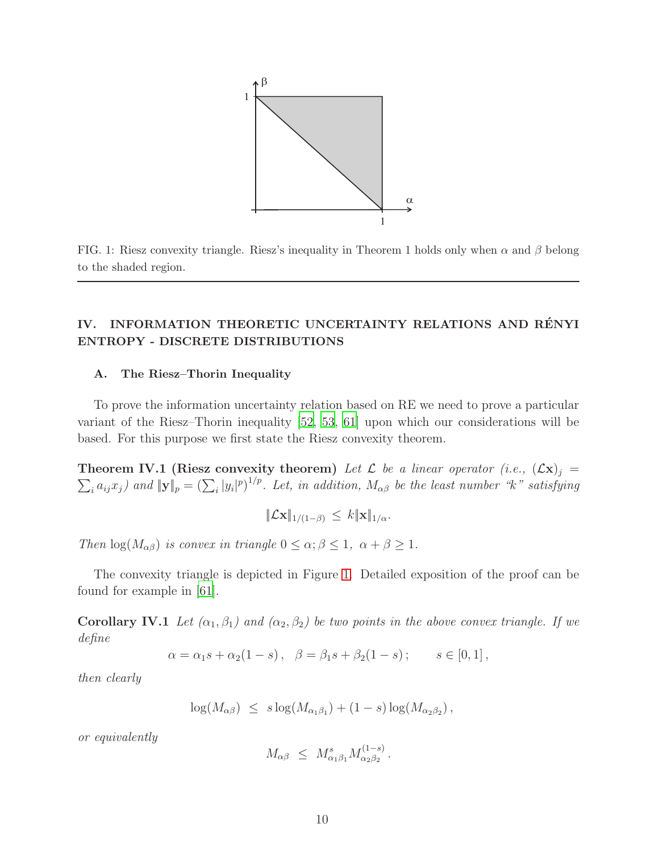

<span id="page-9-1"></span>FIG. 1: Riesz convexity triangle. Riesz's inequality in Theorem 1 holds only when  $\alpha$  and  $\beta$  belong to the shaded region.

## <span id="page-9-0"></span>IV. INFORMATION THEORETIC UNCERTAINTY RELATIONS AND RÉNYI ENTROPY - DISCRETE DISTRIBUTIONS

### A. The Riesz–Thorin Inequality

To prove the information uncertainty relation based on RE we need to prove a particular variant of the Riesz–Thorin inequality [\[52](#page-35-23), [53](#page-35-24), [61\]](#page-35-25) upon which our considerations will be based. For this purpose we first state the Riesz convexity theorem.

**Theorem IV.1 (Riesz convexity theorem)** Let  $\mathcal{L}$  be a linear operator (i.e.,  $(\mathcal{L} \mathbf{x})_j = \sum_i a_{ij} x_j$ ) and  $\|\mathbf{y}\|_p = (\sum_i |y_i|^p)^{1/p}$ . Let, in addition,  $M_{\alpha\beta}$  be the least number "k" satisfying

$$
\|\mathcal{L}\mathbf{x}\|_{1/(1-\beta)} \, \leq \, k \|\mathbf{x}\|_{1/\alpha}.
$$

Then  $log(M_{\alpha\beta})$  is convex in triangle  $0 \leq \alpha; \beta \leq 1$ ,  $\alpha + \beta \geq 1$ .

The convexity triangle is depicted in Figure [1.](#page-9-1) Detailed exposition of the proof can be found for example in [\[61](#page-35-25)].

Corollary IV.1 Let  $(\alpha_1, \beta_1)$  and  $(\alpha_2, \beta_2)$  be two points in the above convex triangle. If we define

$$
\alpha = \alpha_1 s + \alpha_2 (1 - s), \quad \beta = \beta_1 s + \beta_2 (1 - s); \qquad s \in [0, 1],
$$

then clearly

$$
\log(M_{\alpha\beta}) \leq s \log(M_{\alpha_1\beta_1}) + (1-s) \log(M_{\alpha_2\beta_2}),
$$

<span id="page-9-2"></span>or equivalently

$$
M_{\alpha\beta} \leq M_{\alpha_1\beta_1}^s M_{\alpha_2\beta_2}^{(1-s)}.
$$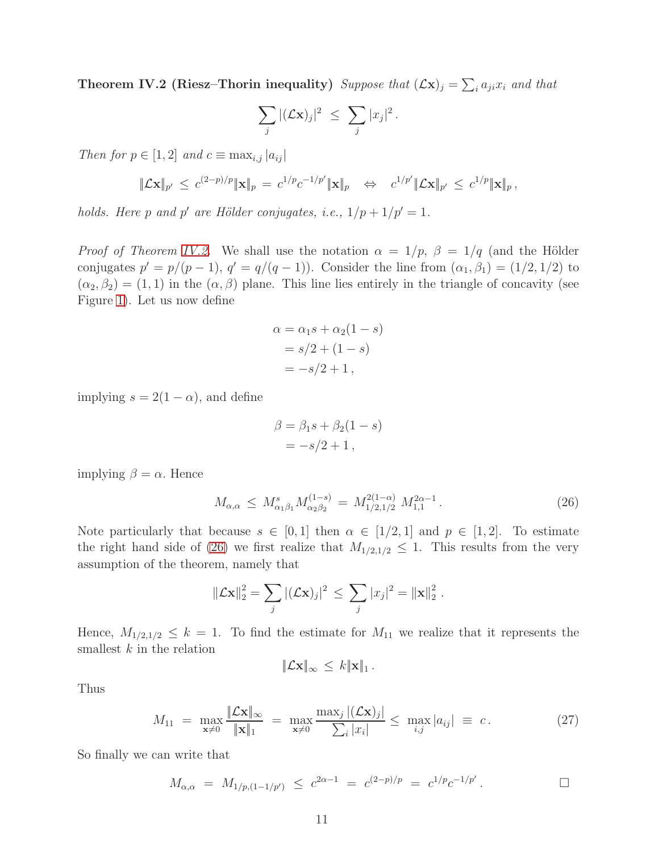**Theorem IV.2 (Riesz–Thorin inequality)** Suppose that  $(L\mathbf{x})_j = \sum_i a_{ji} x_i$  and that

$$
\sum_j |(\mathcal{L} \mathbf{x})_j|^2 \ \leq \ \sum_j |x_j|^2 \, .
$$

Then for  $p \in [1, 2]$  and  $c \equiv \max_{i,j} |a_{ij}|$ 

$$
\|\mathcal{L} \mathbf{x}\|_{p'} \leq c^{(2-p)/p} \|\mathbf{x}\|_{p} = c^{1/p} c^{-1/p'} \|\mathbf{x}\|_{p} \iff c^{1/p'} \|\mathcal{L} \mathbf{x}\|_{p'} \leq c^{1/p} \|\mathbf{x}\|_{p},
$$

holds. Here p and p' are Hölder conjugates, i.e.,  $1/p + 1/p' = 1$ .

*Proof of Theorem [IV.2.](#page-9-2)* We shall use the notation  $\alpha = 1/p$ ,  $\beta = 1/q$  (and the Hölder conjugates  $p' = p/(p-1)$ ,  $q' = q/(q-1)$ ). Consider the line from  $(\alpha_1, \beta_1) = (1/2, 1/2)$  to  $(\alpha_2, \beta_2) = (1, 1)$  in the  $(\alpha, \beta)$  plane. This line lies entirely in the triangle of concavity (see Figure [1\)](#page-9-1). Let us now define

$$
\alpha = \alpha_1 s + \alpha_2 (1 - s)
$$
  
=  $s/2 + (1 - s)$   
=  $-s/2 + 1$ ,

implying  $s = 2(1 - \alpha)$ , and define

$$
\beta = \beta_1 s + \beta_2 (1 - s)
$$

$$
= -s/2 + 1,
$$

implying  $\beta = \alpha$ . Hence

<span id="page-10-0"></span>
$$
M_{\alpha,\alpha} \le M_{\alpha_1\beta_1}^s M_{\alpha_2\beta_2}^{(1-s)} = M_{1/2,1/2}^{2(1-\alpha)} M_{1,1}^{2\alpha-1} \,. \tag{26}
$$

Note particularly that because  $s \in [0,1]$  then  $\alpha \in [1/2,1]$  and  $p \in [1,2]$ . To estimate the right hand side of [\(26\)](#page-10-0) we first realize that  $M_{1/2,1/2} \leq 1$ . This results from the very assumption of the theorem, namely that

$$
\|\mathcal{L}\mathbf{x}\|_2^2 = \sum_j |(\mathcal{L}\mathbf{x})_j|^2 \leq \sum_j |x_j|^2 = \|\mathbf{x}\|_2^2.
$$

Hence,  $M_{1/2,1/2} \leq k = 1$ . To find the estimate for  $M_{11}$  we realize that it represents the smallest  $k$  in the relation

$$
\|\mathcal{L}\mathbf{x}\|_{\infty} \leq k \|\mathbf{x}\|_1.
$$

Thus

<span id="page-10-1"></span>
$$
M_{11} = \max_{\mathbf{x} \neq 0} \frac{\|\mathcal{L}\mathbf{x}\|_{\infty}}{\|\mathbf{x}\|_{1}} = \max_{\mathbf{x} \neq 0} \frac{\max_{j} |(\mathcal{L}\mathbf{x})_{j}|}{\sum_{i} |x_{i}|} \leq \max_{i,j} |a_{ij}| \equiv c. \tag{27}
$$

So finally we can write that

$$
M_{\alpha,\alpha} = M_{1/p,(1-1/p')} \leq c^{2\alpha-1} = c^{(2-p)/p} = c^{1/p}c^{-1/p'}.
$$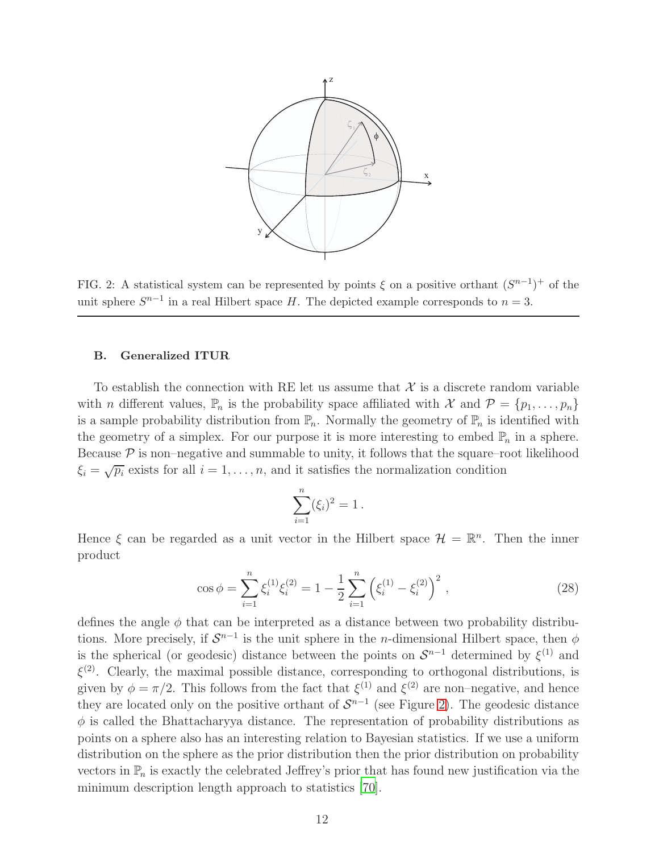

<span id="page-11-0"></span>FIG. 2: A statistical system can be represented by points  $\xi$  on a positive orthant  $(S^{n-1})^+$  of the unit sphere  $S^{n-1}$  in a real Hilbert space H. The depicted example corresponds to  $n = 3$ .

### B. Generalized ITUR

To establish the connection with RE let us assume that  $\mathcal X$  is a discrete random variable with *n* different values,  $\mathbb{P}_n$  is the probability space affiliated with X and  $\mathcal{P} = \{p_1, \ldots, p_n\}$ is a sample probability distribution from  $\mathbb{P}_n$ . Normally the geometry of  $\mathbb{P}_n$  is identified with the geometry of a simplex. For our purpose it is more interesting to embed  $\mathbb{P}_n$  in a sphere. Because  $P$  is non–negative and summable to unity, it follows that the square–root likelihood  $\xi_i = \sqrt{p_i}$  exists for all  $i = 1, \ldots, n$ , and it satisfies the normalization condition

$$
\sum_{i=1}^{n} (\xi_i)^2 = 1.
$$

Hence  $\xi$  can be regarded as a unit vector in the Hilbert space  $\mathcal{H} = \mathbb{R}^n$ . Then the inner product

$$
\cos \phi = \sum_{i=1}^{n} \xi_i^{(1)} \xi_i^{(2)} = 1 - \frac{1}{2} \sum_{i=1}^{n} \left( \xi_i^{(1)} - \xi_i^{(2)} \right)^2, \qquad (28)
$$

defines the angle  $\phi$  that can be interpreted as a distance between two probability distributions. More precisely, if  $S^{n-1}$  is the unit sphere in the *n*-dimensional Hilbert space, then  $\phi$ is the spherical (or geodesic) distance between the points on  $S^{n-1}$  determined by  $\xi^{(1)}$  and  $\xi^{(2)}$ . Clearly, the maximal possible distance, corresponding to orthogonal distributions, is given by  $\phi = \pi/2$ . This follows from the fact that  $\xi^{(1)}$  and  $\xi^{(2)}$  are non-negative, and hence they are located only on the positive orthant of  $S^{n-1}$  (see Figure [2\)](#page-11-0). The geodesic distance  $\phi$  is called the Bhattacharyya distance. The representation of probability distributions as points on a sphere also has an interesting relation to Bayesian statistics. If we use a uniform distribution on the sphere as the prior distribution then the prior distribution on probability vectors in  $\mathbb{P}_n$  is exactly the celebrated Jeffrey's prior that has found new justification via the minimum description length approach to statistics [\[70\]](#page-36-3).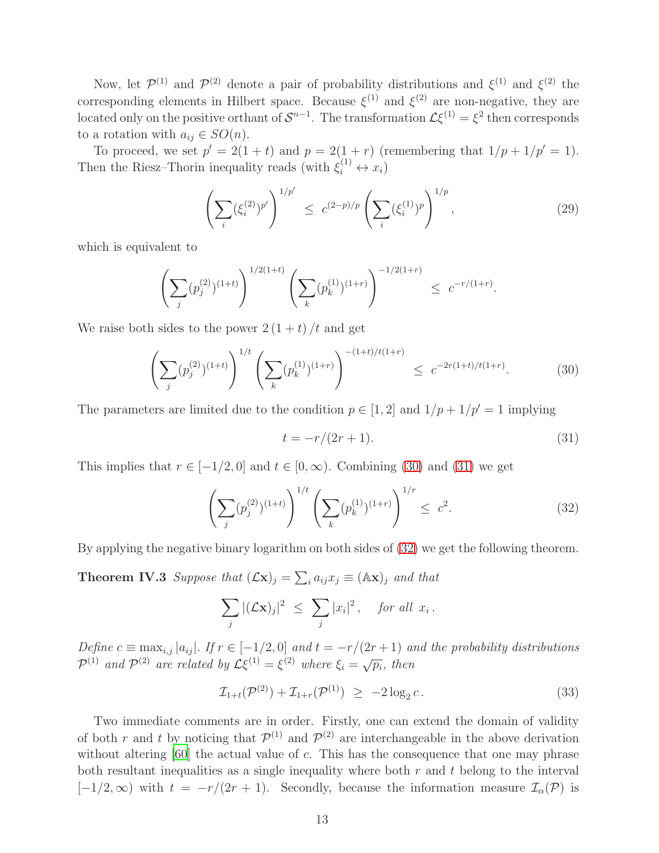Now, let  $\mathcal{P}^{(1)}$  and  $\mathcal{P}^{(2)}$  denote a pair of probability distributions and  $\xi^{(1)}$  and  $\xi^{(2)}$  the corresponding elements in Hilbert space. Because  $\xi^{(1)}$  and  $\xi^{(2)}$  are non-negative, they are located only on the positive orthant of  $S^{n-1}$ . The transformation  $\mathcal{L}\xi^{(1)} = \xi^2$  then corresponds to a rotation with  $a_{ij} \in SO(n)$ .

To proceed, we set  $p' = 2(1 + t)$  and  $p = 2(1 + r)$  (remembering that  $1/p + 1/p' = 1$ ). Then the Riesz–Thorin inequality reads (with  $\xi_i^{(1)} \leftrightarrow x_i$ )

<span id="page-12-4"></span>
$$
\left(\sum_{i} (\xi_i^{(2)})^{p'}\right)^{1/p'} \leq c^{(2-p)/p} \left(\sum_{i} (\xi_i^{(1)})^p\right)^{1/p},\tag{29}
$$

which is equivalent to

$$
\left(\sum_j (p_j^{(2)})^{(1+t)}\right)^{1/2(1+t)} \left(\sum_k (p_k^{(1)})^{(1+r)}\right)^{-1/2(1+r)} \leq c^{-r/(1+r)}.
$$

We raise both sides to the power  $2(1+t)/t$  and get

<span id="page-12-0"></span>
$$
\left(\sum_{j} (p_j^{(2)})^{(1+t)}\right)^{1/t} \left(\sum_{k} (p_k^{(1)})^{(1+r)}\right)^{-(1+t)/t(1+r)} \leq c^{-2r(1+t)/t(1+r)}.
$$
 (30)

The parameters are limited due to the condition  $p \in [1,2]$  and  $1/p + 1/p' = 1$  implying

<span id="page-12-1"></span>
$$
t = -r/(2r + 1). \t\t(31)
$$

This implies that  $r \in [-1/2, 0]$  and  $t \in [0, \infty)$ . Combining [\(30\)](#page-12-0) and [\(31\)](#page-12-1) we get

<span id="page-12-2"></span>
$$
\left(\sum_{j} (p_j^{(2)})^{(1+t)}\right)^{1/t} \left(\sum_{k} (p_k^{(1)})^{(1+r)}\right)^{1/r} \leq c^2.
$$
\n(32)

By applying the negative binary logarithm on both sides of [\(32\)](#page-12-2) we get the following theorem.

**Theorem IV.3** Suppose that  $(L\mathbf{x})_j = \sum_i a_{ij} x_j \equiv (\mathbb{A}\mathbf{x})_j$  and that

$$
\sum_j |(\mathcal{L} \mathbf{x})_j|^2 \leq \sum_j |x_i|^2, \quad \text{for all } x_i.
$$

Define  $c \equiv \max_{i,j} |a_{ij}|$ . If  $r \in [-1/2, 0]$  and  $t = -r/(2r + 1)$  and the probability distributions  $\mathcal{P}^{(1)}$  and  $\mathcal{P}^{(2)}$  are related by  $\mathcal{L}\xi^{(1)} = \xi^{(2)}$  where  $\xi_i = \sqrt{p_i}$ , then

<span id="page-12-3"></span>
$$
\mathcal{I}_{1+t}(\mathcal{P}^{(2)}) + \mathcal{I}_{1+r}(\mathcal{P}^{(1)}) \ge -2\log_2 c.
$$
 (33)

Two immediate comments are in order. Firstly, one can extend the domain of validity of both r and t by noticing that  $\mathcal{P}^{(1)}$  and  $\mathcal{P}^{(2)}$  are interchangeable in the above derivation without altering [\[60](#page-35-26)] the actual value of c. This has the consequence that one may phrase both resultant inequalities as a single inequality where both  $r$  and  $t$  belong to the interval  $[-1/2,\infty)$  with  $t = -r/(2r + 1)$ . Secondly, because the information measure  $\mathcal{I}_{\alpha}(\mathcal{P})$  is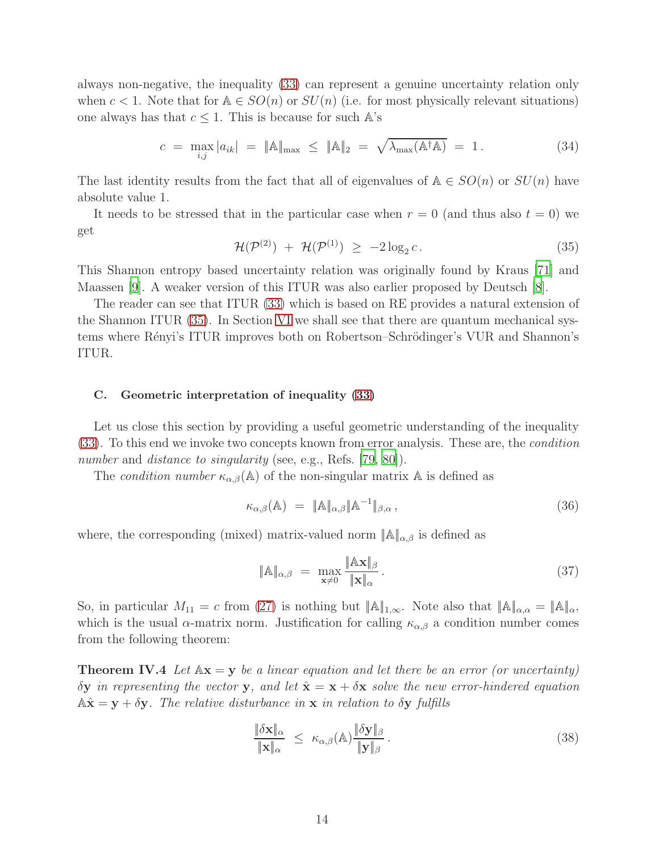always non-negative, the inequality [\(33\)](#page-12-3) can represent a genuine uncertainty relation only when  $c < 1$ . Note that for  $\mathbb{A} \in SO(n)$  or  $SU(n)$  (i.e. for most physically relevant situations) one always has that  $c \leq 1$ . This is because for such A's

$$
c = \max_{i,j} |a_{ik}| = \|\mathbb{A}\|_{\max} \le \|\mathbb{A}\|_2 = \sqrt{\lambda_{\max}(\mathbb{A}^\dagger \mathbb{A})} = 1. \tag{34}
$$

The last identity results from the fact that all of eigenvalues of  $\mathbb{A} \in SO(n)$  or  $SU(n)$  have absolute value 1.

It needs to be stressed that in the particular case when  $r = 0$  (and thus also  $t = 0$ ) we get

<span id="page-13-0"></span>
$$
\mathcal{H}(\mathcal{P}^{(2)}) + \mathcal{H}(\mathcal{P}^{(1)}) \geq -2\log_2 c. \tag{35}
$$

This Shannon entropy based uncertainty relation was originally found by Kraus [\[71](#page-36-4)] and Maassen [\[9](#page-34-9)]. A weaker version of this ITUR was also earlier proposed by Deutsch [\[8](#page-34-15)].

The reader can see that ITUR [\(33\)](#page-12-3) which is based on RE provides a natural extension of the Shannon ITUR [\(35\)](#page-13-0). In Section [VI](#page-19-0) we shall see that there are quantum mechanical systems where Rényi's ITUR improves both on Robertson–Schrödinger's VUR and Shannon's ITUR.

#### C. Geometric interpretation of inequality [\(33\)](#page-12-3)

Let us close this section by providing a useful geometric understanding of the inequality [\(33\)](#page-12-3). To this end we invoke two concepts known from error analysis. These are, the condition number and *distance to singularity* (see, e.g., Refs. [\[79](#page-36-5), [80](#page-36-6)]).

The condition number  $\kappa_{\alpha,\beta}(\mathbb{A})$  of the non-singular matrix  $\mathbb A$  is defined as

$$
\kappa_{\alpha,\beta}(\mathbb{A}) = \|\mathbb{A}\|_{\alpha,\beta} \|\mathbb{A}^{-1}\|_{\beta,\alpha},\tag{36}
$$

where, the corresponding (mixed) matrix-valued norm  $\|\mathbb{A}\|_{\alpha,\beta}$  is defined as

$$
\|\mathbb{A}\|_{\alpha,\beta} = \max_{\mathbf{x}\neq 0} \frac{\|\mathbb{A}\mathbf{x}\|_{\beta}}{\|\mathbf{x}\|_{\alpha}}.
$$
\n(37)

So, in particular  $M_{11} = c$  from [\(27\)](#page-10-1) is nothing but  $||A||_{1,\infty}$ . Note also that  $||A||_{\alpha,\alpha} = ||A||_{\alpha}$ , which is the usual  $\alpha$ -matrix norm. Justification for calling  $\kappa_{\alpha,\beta}$  a condition number comes from the following theorem:

**Theorem IV.4** Let  $Ax = y$  be a linear equation and let there be an error (or uncertainty) δy in representing the vector y, and let  $\hat{\mathbf{x}} = \mathbf{x} + \delta \mathbf{x}$  solve the new error-hindered equation  $A\hat{\mathbf{x}} = \mathbf{y} + \delta \mathbf{y}$ . The relative disturbance in  $\mathbf{x}$  in relation to  $\delta \mathbf{y}$  fulfills

<span id="page-13-1"></span>
$$
\frac{\|\delta \mathbf{x}\|_{\alpha}}{\|\mathbf{x}\|_{\alpha}} \leq \kappa_{\alpha,\beta}(\mathbb{A}) \frac{\|\delta \mathbf{y}\|_{\beta}}{\|\mathbf{y}\|_{\beta}}.
$$
\n(38)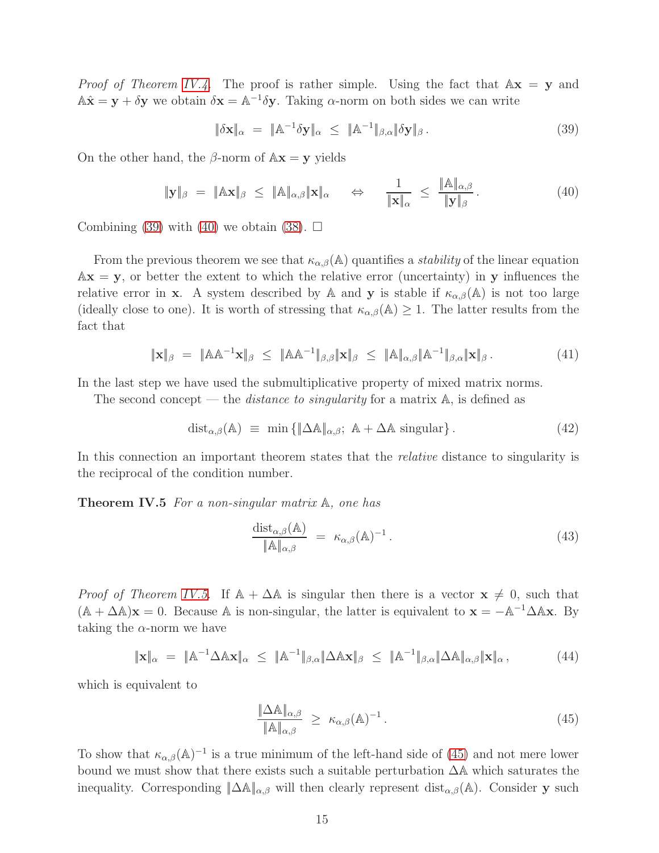*Proof of Theorem [IV.4.](#page-13-1)* The proof is rather simple. Using the fact that  $Ax = y$  and  $\mathbb{A}\hat{\mathbf{x}} = \mathbf{y} + \delta \mathbf{y}$  we obtain  $\delta \mathbf{x} = \mathbb{A}^{-1} \delta \mathbf{y}$ . Taking  $\alpha$ -norm on both sides we can write

<span id="page-14-0"></span>
$$
\|\delta \mathbf{x}\|_{\alpha} = \|\mathbb{A}^{-1} \delta \mathbf{y}\|_{\alpha} \le \|\mathbb{A}^{-1}\|_{\beta,\alpha} \|\delta \mathbf{y}\|_{\beta}.
$$
\n(39)

On the other hand, the  $\beta$ -norm of  $Ax = y$  yields

<span id="page-14-1"></span>
$$
\|\mathbf{y}\|_{\beta} = \|\mathbb{A}\mathbf{x}\|_{\beta} \le \|\mathbb{A}\|_{\alpha,\beta} \|\mathbf{x}\|_{\alpha} \quad \Leftrightarrow \quad \frac{1}{\|\mathbf{x}\|_{\alpha}} \le \frac{\|\mathbb{A}\|_{\alpha,\beta}}{\|\mathbf{y}\|_{\beta}}.
$$
 (40)

Combining [\(39\)](#page-14-0) with [\(40\)](#page-14-1) we obtain [\(38\)](#page-13-1).  $\Box$ 

From the previous theorem we see that  $\kappa_{\alpha,\beta}(\mathbb{A})$  quantifies a *stability* of the linear equation  $Ax = y$ , or better the extent to which the relative error (uncertainty) in y influences the relative error in **x**. A system described by A and **y** is stable if  $\kappa_{\alpha,\beta}(\mathbb{A})$  is not too large (ideally close to one). It is worth of stressing that  $\kappa_{\alpha,\beta}(\mathbb{A}) \geq 1$ . The latter results from the fact that

$$
\|\mathbf{x}\|_{\beta} = \|\mathbb{A}\mathbb{A}^{-1}\mathbf{x}\|_{\beta} \le \|\mathbb{A}\mathbb{A}^{-1}\|_{\beta,\beta}\|\mathbf{x}\|_{\beta} \le \|\mathbb{A}\|_{\alpha,\beta}\|\mathbb{A}^{-1}\|_{\beta,\alpha}\|\mathbf{x}\|_{\beta}.
$$
 (41)

In the last step we have used the submultiplicative property of mixed matrix norms.

The second concept — the *distance to singularity* for a matrix  $A$ , is defined as

$$
dist_{\alpha,\beta}(\mathbb{A}) \equiv \min \{ \|\Delta \mathbb{A}\|_{\alpha,\beta}; \ \mathbb{A} + \Delta \mathbb{A} \text{ singular} \}.
$$
 (42)

In this connection an important theorem states that the *relative* distance to singularity is the reciprocal of the condition number.

**Theorem IV.5** For a non-singular matrix  $\mathbb{A}$ , one has

<span id="page-14-2"></span>
$$
\frac{\operatorname{dist}_{\alpha,\beta}(\mathbb{A})}{\|\mathbb{A}\|_{\alpha,\beta}} = \kappa_{\alpha,\beta}(\mathbb{A})^{-1}.
$$
\n(43)

*Proof of Theorem [IV.5.](#page-14-2)* If  $A + \Delta A$  is singular then there is a vector  $x \neq 0$ , such that  $(A + \Delta A)x = 0$ . Because A is non-singular, the latter is equivalent to  $x = -A^{-1}\Delta Ax$ . By taking the  $\alpha$ -norm we have

$$
\|\mathbf{x}\|_{\alpha} = \|\mathbb{A}^{-1}\Delta\mathbb{A}\mathbf{x}\|_{\alpha} \le \|\mathbb{A}^{-1}\|_{\beta,\alpha}\|\Delta\mathbb{A}\mathbf{x}\|_{\beta} \le \|\mathbb{A}^{-1}\|_{\beta,\alpha}\|\Delta\mathbb{A}\|_{\alpha,\beta}\|\mathbf{x}\|_{\alpha}, \tag{44}
$$

which is equivalent to

<span id="page-14-3"></span>
$$
\frac{\|\Delta\mathbb{A}\|_{\alpha,\beta}}{\|\mathbb{A}\|_{\alpha,\beta}} \geq \kappa_{\alpha,\beta}(\mathbb{A})^{-1} \,. \tag{45}
$$

To show that  $\kappa_{\alpha,\beta}(\mathbb{A})^{-1}$  is a true minimum of the left-hand side of [\(45\)](#page-14-3) and not mere lower bound we must show that there exists such a suitable perturbation  $\Delta A$  which saturates the inequality. Corresponding  $\|\Delta\mathbb{A}\|_{\alpha,\beta}$  will then clearly represent dist $_{\alpha,\beta}(\mathbb{A})$ . Consider y such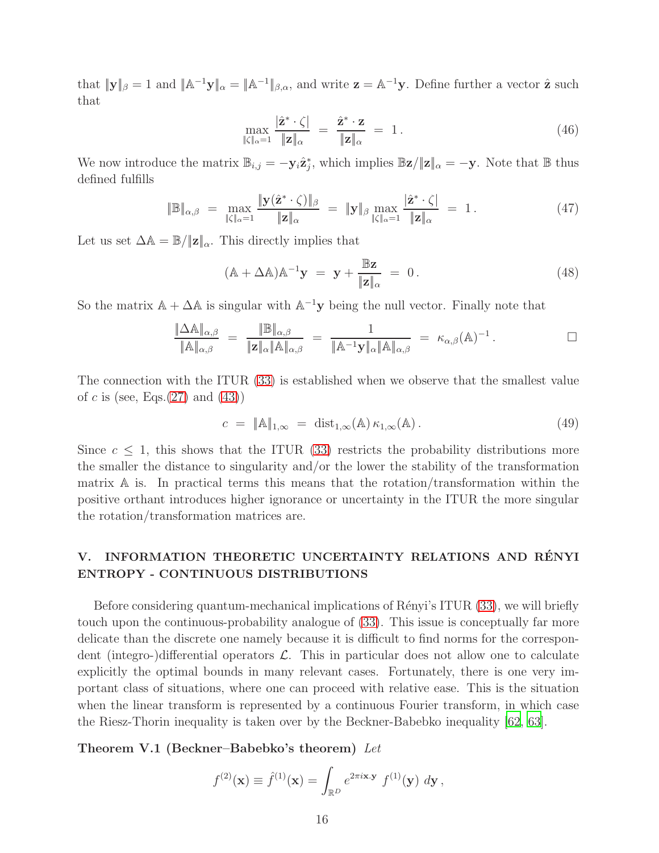that  $\|\mathbf{y}\|_{\beta} = 1$  and  $\|\mathbb{A}^{-1}\mathbf{y}\|_{\alpha} = \|\mathbb{A}^{-1}\|_{\beta,\alpha}$ , and write  $\mathbf{z} = \mathbb{A}^{-1}\mathbf{y}$ . Define further a vector  $\hat{\mathbf{z}}$  such that

$$
\max_{\|\zeta\|_{\alpha}=1} \frac{|\hat{\mathbf{z}}^* \cdot \zeta|}{\|\mathbf{z}\|_{\alpha}} = \frac{\hat{\mathbf{z}}^* \cdot \mathbf{z}}{\|\mathbf{z}\|_{\alpha}} = 1. \tag{46}
$$

We now introduce the matrix  $\mathbb{B}_{i,j} = -\mathbf{y}_i \hat{\mathbf{z}}_j^*$ , which implies  $\mathbb{B}\mathbf{z}/\|\mathbf{z}\|_{\alpha} = -\mathbf{y}$ . Note that  $\mathbb{B}$  thus defined fulfills

$$
\|\mathbb{B}\|_{\alpha,\beta} = \max_{\|\zeta\|_{\alpha}=1} \frac{\|\mathbf{y}(\hat{\mathbf{z}}^* \cdot \zeta)\|_{\beta}}{\|\mathbf{z}\|_{\alpha}} = \|\mathbf{y}\|_{\beta} \max_{\|\zeta\|_{\alpha}=1} \frac{|\hat{\mathbf{z}}^* \cdot \zeta|}{\|\mathbf{z}\|_{\alpha}} = 1.
$$
 (47)

Let us set  $\Delta A = \mathbb{B}/\|\mathbf{z}\|_{\alpha}$ . This directly implies that

$$
(\mathbb{A} + \Delta \mathbb{A})\mathbb{A}^{-1}\mathbf{y} = \mathbf{y} + \frac{\mathbb{B}\mathbf{z}}{\|\mathbf{z}\|_{\alpha}} = 0.
$$
 (48)

So the matrix  $\mathbb{A} + \Delta \mathbb{A}$  is singular with  $\mathbb{A}^{-1}$ y being the null vector. Finally note that

$$
\frac{\|\Delta\mathbb{A}\|_{\alpha,\beta}}{\|\mathbb{A}\|_{\alpha,\beta}} = \frac{\|\mathbb{B}\|_{\alpha,\beta}}{\|\mathbf{z}\|_{\alpha}\|\mathbb{A}\|_{\alpha,\beta}} = \frac{1}{\|\mathbb{A}^{-1}\mathbf{y}\|_{\alpha}\|\mathbb{A}\|_{\alpha,\beta}} = \kappa_{\alpha,\beta}(\mathbb{A})^{-1}.
$$

The connection with the ITUR [\(33\)](#page-12-3) is established when we observe that the smallest value of c is (see, Eqs. $(27)$  and  $(43)$ )

$$
c = \|\mathbb{A}\|_{1,\infty} = \text{dist}_{1,\infty}(\mathbb{A}) \kappa_{1,\infty}(\mathbb{A}). \tag{49}
$$

Since  $c \leq 1$ , this shows that the ITUR [\(33\)](#page-12-3) restricts the probability distributions more the smaller the distance to singularity and/or the lower the stability of the transformation matrix A is. In practical terms this means that the rotation/transformation within the positive orthant introduces higher ignorance or uncertainty in the ITUR the more singular the rotation/transformation matrices are.

## <span id="page-15-0"></span>V. INFORMATION THEORETIC UNCERTAINTY RELATIONS AND RÉNYI ENTROPY - CONTINUOUS DISTRIBUTIONS

Before considering quantum-mechanical implications of  $Rényi's ITUR$  [\(33\)](#page-12-3), we will briefly touch upon the continuous-probability analogue of [\(33\)](#page-12-3). This issue is conceptually far more delicate than the discrete one namely because it is difficult to find norms for the correspondent (integro-)differential operators  $\mathcal{L}$ . This in particular does not allow one to calculate explicitly the optimal bounds in many relevant cases. Fortunately, there is one very important class of situations, where one can proceed with relative ease. This is the situation when the linear transform is represented by a continuous Fourier transform, in which case the Riesz-Thorin inequality is taken over by the Beckner-Babebko inequality [\[62,](#page-35-27) [63\]](#page-35-28).

### Theorem V.1 (Beckner–Babebko's theorem) Let

$$
f^{(2)}(\mathbf{x}) \equiv \hat{f}^{(1)}(\mathbf{x}) = \int_{\mathbb{R}^D} e^{2\pi i \mathbf{x} \cdot \mathbf{y}} f^{(1)}(\mathbf{y}) \, d\mathbf{y},
$$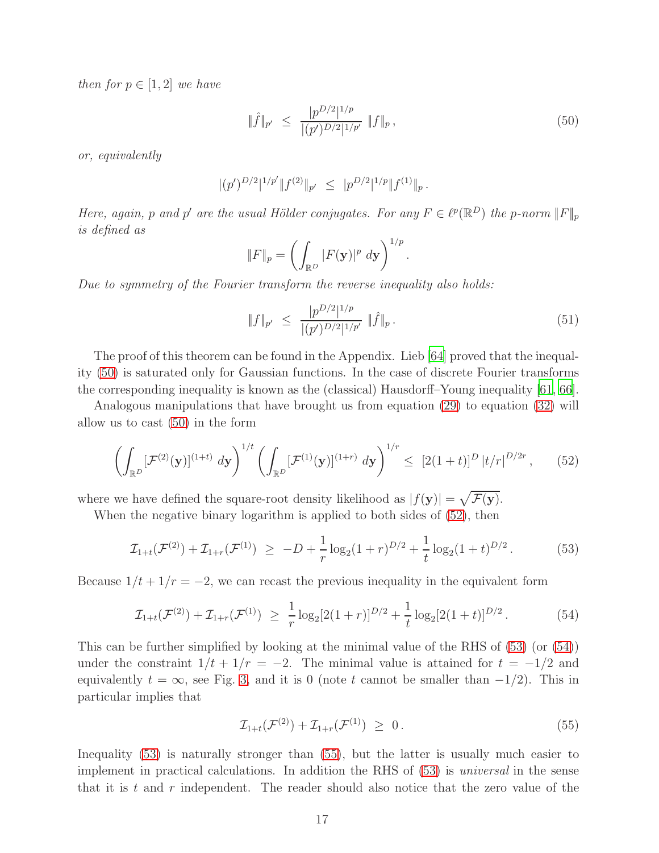then for  $p \in [1,2]$  we have

<span id="page-16-0"></span>
$$
\|\hat{f}\|_{p'} \le \frac{|p^{D/2}|^{1/p}}{|(p')^{D/2}|^{1/p'}} \|f\|_{p},
$$
\n(50)

or, equivalently

$$
|(p')^{D/2}|^{1/p'}\|f^{(2)}\|_{p'} \leq |p^{D/2}|^{1/p}\|f^{(1)}\|_{p}.
$$

Here, again, p and p' are the usual Hölder conjugates. For any  $F \in \ell^p(\mathbb{R}^D)$  the p-norm  $||F||_p$ is defined as

$$
||F||_p = \left(\int_{\mathbb{R}^D} |F(\mathbf{y})|^p \ d\mathbf{y}\right)^{1/p}.
$$

Due to symmetry of the Fourier transform the reverse inequality also holds:

$$
||f||_{p'} \le \frac{|p^{D/2}|^{1/p}}{|(p')^{D/2}|^{1/p'}} ||\hat{f}||_p. \tag{51}
$$

The proof of this theorem can be found in the Appendix. Lieb [\[64](#page-36-7)] proved that the inequality [\(50\)](#page-16-0) is saturated only for Gaussian functions. In the case of discrete Fourier transforms the corresponding inequality is known as the (classical) Hausdorff–Young inequality [\[61,](#page-35-25) [66\]](#page-36-0).

Analogous manipulations that have brought us from equation [\(29\)](#page-12-4) to equation [\(32\)](#page-12-2) will allow us to cast [\(50\)](#page-16-0) in the form

<span id="page-16-1"></span>
$$
\left(\int_{\mathbb{R}^D} [\mathcal{F}^{(2)}(\mathbf{y})]^{(1+t)} \, d\mathbf{y}\right)^{1/t} \left(\int_{\mathbb{R}^D} [\mathcal{F}^{(1)}(\mathbf{y})]^{(1+r)} \, d\mathbf{y}\right)^{1/r} \leq \ [2(1+t)]^D \ |t/r|^{D/2r},\tag{52}
$$

where we have defined the square-root density likelihood as  $|f(\mathbf{y})| = \sqrt{\mathcal{F}(\mathbf{y})}$ .

When the negative binary logarithm is applied to both sides of  $(52)$ , then

<span id="page-16-2"></span>
$$
\mathcal{I}_{1+t}(\mathcal{F}^{(2)}) + \mathcal{I}_{1+r}(\mathcal{F}^{(1)}) \ge -D + \frac{1}{r} \log_2(1+r)^{D/2} + \frac{1}{t} \log_2(1+t)^{D/2}.
$$
 (53)

Because  $1/t + 1/r = -2$ , we can recast the previous inequality in the equivalent form

<span id="page-16-3"></span>
$$
\mathcal{I}_{1+t}(\mathcal{F}^{(2)}) + \mathcal{I}_{1+r}(\mathcal{F}^{(1)}) \geq \frac{1}{r} \log_2[2(1+r)]^{D/2} + \frac{1}{t} \log_2[2(1+t)]^{D/2}.
$$
 (54)

This can be further simplified by looking at the minimal value of the RHS of [\(53\)](#page-16-2) (or [\(54\)](#page-16-3)) under the constraint  $1/t + 1/r = -2$ . The minimal value is attained for  $t = -1/2$  and equivalently  $t = \infty$ , see Fig. [3,](#page-17-0) and it is 0 (note t cannot be smaller than  $-1/2$ ). This in particular implies that

<span id="page-16-4"></span>
$$
\mathcal{I}_{1+t}(\mathcal{F}^{(2)}) + \mathcal{I}_{1+r}(\mathcal{F}^{(1)}) \geq 0.
$$
 (55)

Inequality [\(53\)](#page-16-2) is naturally stronger than [\(55\)](#page-16-4), but the latter is usually much easier to implement in practical calculations. In addition the RHS of [\(53\)](#page-16-2) is universal in the sense that it is t and r independent. The reader should also notice that the zero value of the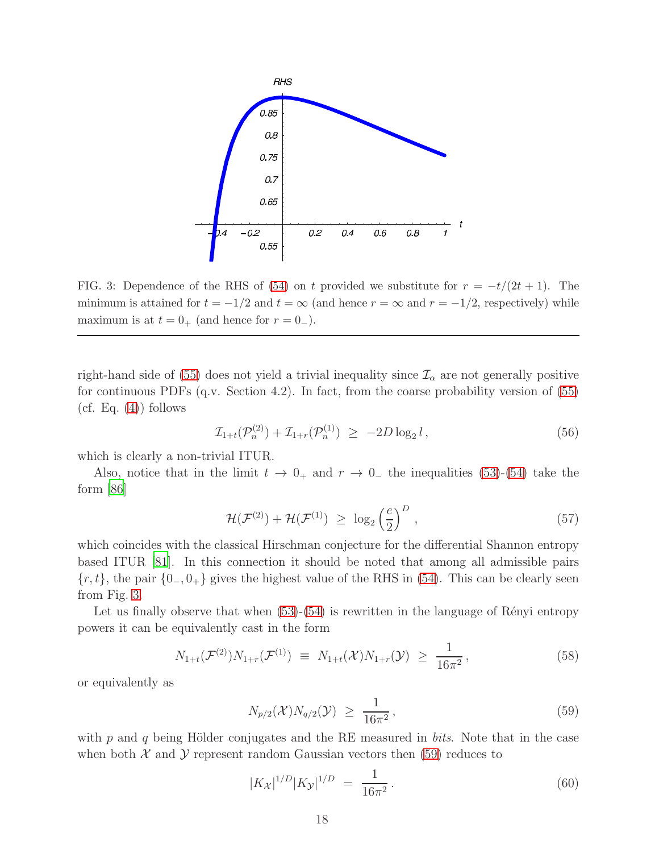

<span id="page-17-0"></span>FIG. 3: Dependence of the RHS of [\(54\)](#page-16-3) on t provided we substitute for  $r = -t/(2t + 1)$ . The minimum is attained for  $t = -1/2$  and  $t = \infty$  (and hence  $r = \infty$  and  $r = -1/2$ , respectively) while maximum is at  $t = 0_+$  (and hence for  $r = 0_-$ ).

right-hand side of [\(55\)](#page-16-4) does not yield a trivial inequality since  $\mathcal{I}_{\alpha}$  are not generally positive for continuous PDFs (q.v. Section 4.2). In fact, from the coarse probability version of [\(55\)](#page-16-4)  $(cf. Eq. (4)) follows$  $(cf. Eq. (4)) follows$  $(cf. Eq. (4)) follows$ 

$$
\mathcal{I}_{1+t}(\mathcal{P}_n^{(2)}) + \mathcal{I}_{1+r}(\mathcal{P}_n^{(1)}) \ge -2D \log_2 l \,, \tag{56}
$$

which is clearly a non-trivial ITUR.

Also, notice that in the limit  $t \to 0_+$  and  $r \to 0_-$  the inequalities [\(53\)](#page-16-2)-[\(54\)](#page-16-3) take the form [\[86\]](#page-36-8)

<span id="page-17-4"></span>
$$
\mathcal{H}(\mathcal{F}^{(2)}) + \mathcal{H}(\mathcal{F}^{(1)}) \ge \log_2\left(\frac{e}{2}\right)^D,\tag{57}
$$

which coincides with the classical Hirschman conjecture for the differential Shannon entropy based ITUR [\[81\]](#page-36-9). In this connection it should be noted that among all admissible pairs  $\{r, t\}$ , the pair  $\{0_-, 0_+\}$  gives the highest value of the RHS in [\(54\)](#page-16-3). This can be clearly seen from Fig. [3.](#page-17-0)

Let us finally observe that when  $(53)-(54)$  $(53)-(54)$  is rewritten in the language of Rényi entropy powers it can be equivalently cast in the form

<span id="page-17-3"></span>
$$
N_{1+t}(\mathcal{F}^{(2)})N_{1+r}(\mathcal{F}^{(1)}) \equiv N_{1+t}(\mathcal{X})N_{1+r}(\mathcal{Y}) \ge \frac{1}{16\pi^2},\tag{58}
$$

or equivalently as

<span id="page-17-1"></span>
$$
N_{p/2}(\mathcal{X})N_{q/2}(\mathcal{Y}) \geq \frac{1}{16\pi^2},\tag{59}
$$

with p and q being Hölder conjugates and the RE measured in bits. Note that in the case when both  $\mathcal X$  and  $\mathcal Y$  represent random Gaussian vectors then [\(59\)](#page-17-1) reduces to

<span id="page-17-2"></span>
$$
|K_{\mathcal{X}}|^{1/D}|K_{\mathcal{Y}}|^{1/D} = \frac{1}{16\pi^2}.
$$
\n(60)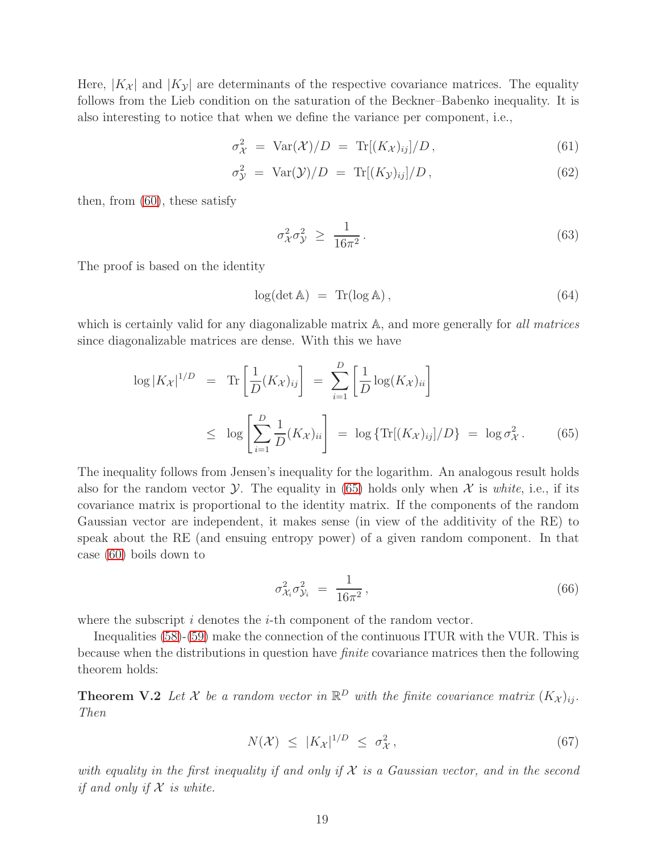Here,  $|K_{\mathcal{X}}|$  and  $|K_{\mathcal{Y}}|$  are determinants of the respective covariance matrices. The equality follows from the Lieb condition on the saturation of the Beckner–Babenko inequality. It is also interesting to notice that when we define the variance per component, i.e.,

$$
\sigma_{\mathcal{X}}^2 = \text{Var}(\mathcal{X})/D = \text{Tr}[(K_{\mathcal{X}})_{ij}]/D, \qquad (61)
$$

$$
\sigma_{\mathcal{Y}}^2 = \text{Var}(\mathcal{Y})/D = \text{Tr}[(K_{\mathcal{Y}})_{ij}]/D, \qquad (62)
$$

then, from [\(60\)](#page-17-2), these satisfy

$$
\sigma_{\mathcal{X}}^2 \sigma_{\mathcal{Y}}^2 \ge \frac{1}{16\pi^2} \,. \tag{63}
$$

The proof is based on the identity

$$
\log(\det \mathbb{A}) = \text{Tr}(\log \mathbb{A}), \qquad (64)
$$

which is certainly valid for any diagonalizable matrix  $A$ , and more generally for all matrices since diagonalizable matrices are dense. With this we have

<span id="page-18-0"></span>
$$
\log|K_{\mathcal{X}}|^{1/D} = \text{Tr}\left[\frac{1}{D}(K_{\mathcal{X}})_{ij}\right] = \sum_{i=1}^{D} \left[\frac{1}{D}\log(K_{\mathcal{X}})_{ii}\right]
$$

$$
\leq \log\left[\sum_{i=1}^{D} \frac{1}{D}(K_{\mathcal{X}})_{ii}\right] = \log\left\{\text{Tr}[(K_{\mathcal{X}})_{ij}]/D\right\} = \log\sigma_{\mathcal{X}}^2. \tag{65}
$$

The inequality follows from Jensen's inequality for the logarithm. An analogous result holds also for the random vector  $\mathcal Y$ . The equality in [\(65\)](#page-18-0) holds only when  $\mathcal X$  is white, i.e., if its covariance matrix is proportional to the identity matrix. If the components of the random Gaussian vector are independent, it makes sense (in view of the additivity of the RE) to speak about the RE (and ensuing entropy power) of a given random component. In that case [\(60\)](#page-17-2) boils down to

$$
\sigma_{\mathcal{X}_i}^2 \sigma_{\mathcal{Y}_i}^2 = \frac{1}{16\pi^2},\tag{66}
$$

where the subscript  $i$  denotes the  $i$ -th component of the random vector.

Inequalities [\(58\)](#page-17-3)-[\(59\)](#page-17-1) make the connection of the continuous ITUR with the VUR. This is because when the distributions in question have finite covariance matrices then the following theorem holds:

**Theorem V.2** Let X be a random vector in  $\mathbb{R}^D$  with the finite covariance matrix  $(K_X)_{ij}$ . Then

$$
N(\mathcal{X}) \leq |K_{\mathcal{X}}|^{1/D} \leq \sigma_{\mathcal{X}}^2, \tag{67}
$$

with equality in the first inequality if and only if  $\mathcal X$  is a Gaussian vector, and in the second if and only if  $\mathcal X$  is white.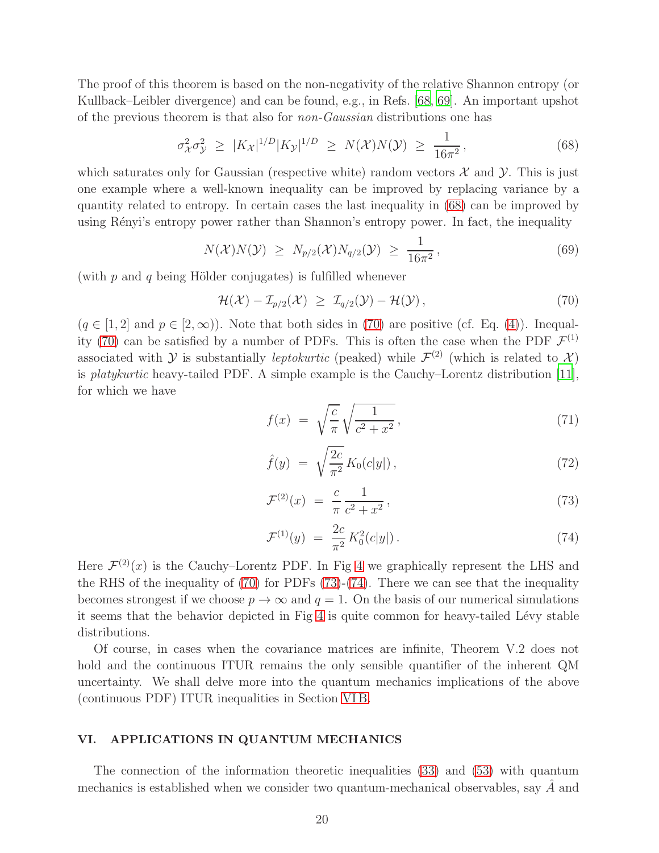The proof of this theorem is based on the non-negativity of the relative Shannon entropy (or Kullback–Leibler divergence) and can be found, e.g., in Refs. [\[68,](#page-36-10) [69](#page-36-11)]. An important upshot of the previous theorem is that also for non-Gaussian distributions one has

<span id="page-19-1"></span>
$$
\sigma_{\mathcal{X}}^2 \sigma_{\mathcal{Y}}^2 \ge |K_{\mathcal{X}}|^{1/D} |K_{\mathcal{Y}}|^{1/D} \ge N(\mathcal{X}) N(\mathcal{Y}) \ge \frac{1}{16\pi^2}, \tag{68}
$$

which saturates only for Gaussian (respective white) random vectors  $\mathcal X$  and  $\mathcal Y$ . This is just one example where a well-known inequality can be improved by replacing variance by a quantity related to entropy. In certain cases the last inequality in [\(68\)](#page-19-1) can be improved by using Rényi's entropy power rather than Shannon's entropy power. In fact, the inequality

$$
N(\mathcal{X})N(\mathcal{Y}) \geq N_{p/2}(\mathcal{X})N_{q/2}(\mathcal{Y}) \geq \frac{1}{16\pi^2},\tag{69}
$$

(with  $p$  and  $q$  being Hölder conjugates) is fulfilled whenever

<span id="page-19-2"></span>
$$
\mathcal{H}(\mathcal{X}) - \mathcal{I}_{p/2}(\mathcal{X}) \geq \mathcal{I}_{q/2}(\mathcal{Y}) - \mathcal{H}(\mathcal{Y}), \qquad (70)
$$

 $(q \in [1, 2]$  and  $p \in [2, \infty)$ ). Note that both sides in [\(70\)](#page-19-2) are positive (cf. Eq. [\(4\)](#page-4-1)). Inequal-ity [\(70\)](#page-19-2) can be satisfied by a number of PDFs. This is often the case when the PDF  $\mathcal{F}^{(1)}$ associated with  $Y$  is substantially *leptokurtic* (peaked) while  $\mathcal{F}^{(2)}$  (which is related to  $\mathcal{X}$ ) is platykurtic heavy-tailed PDF. A simple example is the Cauchy–Lorentz distribution [\[11\]](#page-34-13), for which we have

<span id="page-19-3"></span>
$$
f(x) = \sqrt{\frac{c}{\pi}} \sqrt{\frac{1}{c^2 + x^2}},
$$
\n(71)

$$
\hat{f}(y) = \sqrt{\frac{2c}{\pi^2}} K_0(c|y|), \qquad (72)
$$

$$
\mathcal{F}^{(2)}(x) = \frac{c}{\pi} \frac{1}{c^2 + x^2},\tag{73}
$$

$$
\mathcal{F}^{(1)}(y) = \frac{2c}{\pi^2} K_0^2(c|y|). \tag{74}
$$

Here  $\mathcal{F}^{(2)}(x)$  is the Cauchy-Lorentz PDF. In Fig [4](#page-20-0) we graphically represent the LHS and the RHS of the inequality of [\(70\)](#page-19-2) for PDFs [\(73\)](#page-19-3)-[\(74\)](#page-19-3). There we can see that the inequality becomes strongest if we choose  $p \to \infty$  and  $q = 1$ . On the basis of our numerical simulations it seems that the behavior depicted in Fig [4](#page-20-0) is quite common for heavy-tailed Lévy stable distributions.

Of course, in cases when the covariance matrices are infinite, Theorem V.2 does not hold and the continuous ITUR remains the only sensible quantifier of the inherent QM uncertainty. We shall delve more into the quantum mechanics implications of the above (continuous PDF) ITUR inequalities in Section [VI B.](#page-23-0)

#### <span id="page-19-0"></span>VI. APPLICATIONS IN QUANTUM MECHANICS

The connection of the information theoretic inequalities [\(33\)](#page-12-3) and [\(53\)](#page-16-2) with quantum mechanics is established when we consider two quantum-mechanical observables, say  $A$  and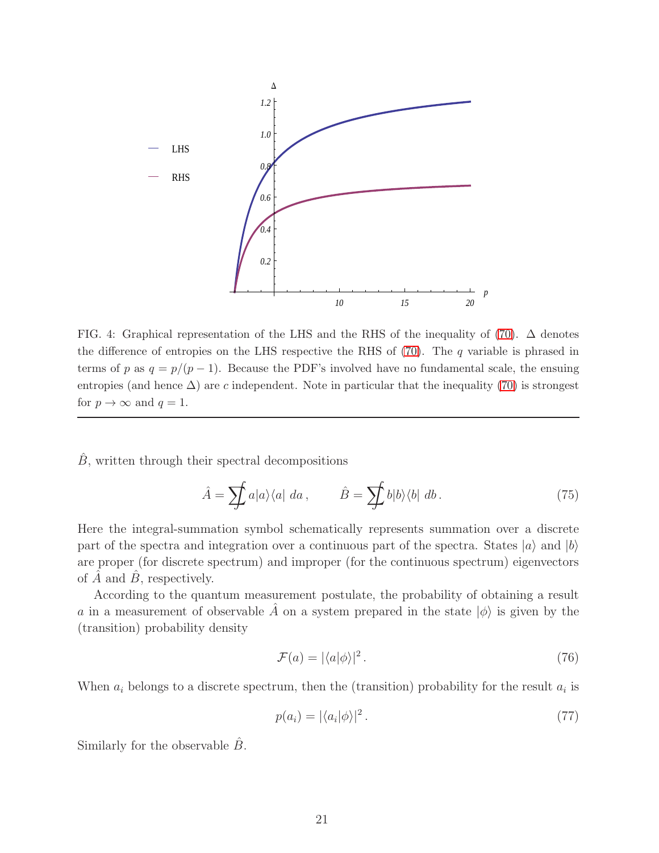

<span id="page-20-0"></span>FIG. 4: Graphical representation of the LHS and the RHS of the inequality of [\(70\)](#page-19-2).  $\Delta$  denotes the difference of entropies on the LHS respective the RHS of  $(70)$ . The q variable is phrased in terms of p as  $q = p/(p - 1)$ . Because the PDF's involved have no fundamental scale, the ensuing entropies (and hence  $\Delta$ ) are c independent. Note in particular that the inequality [\(70\)](#page-19-2) is strongest for  $p \to \infty$  and  $q = 1$ .

 $\hat{B}$ , written through their spectral decompositions

$$
\hat{A} = \sum f a |a\rangle\langle a| da, \qquad \hat{B} = \sum f b |b\rangle\langle b| db. \tag{75}
$$

Here the integral-summation symbol schematically represents summation over a discrete part of the spectra and integration over a continuous part of the spectra. States  $|a\rangle$  and  $|b\rangle$ are proper (for discrete spectrum) and improper (for the continuous spectrum) eigenvectors of  $A$  and  $B$ , respectively.

According to the quantum measurement postulate, the probability of obtaining a result a in a measurement of observable A on a system prepared in the state  $|\phi\rangle$  is given by the (transition) probability density

$$
\mathcal{F}(a) = |\langle a|\phi\rangle|^2. \tag{76}
$$

When  $a_i$  belongs to a discrete spectrum, then the (transition) probability for the result  $a_i$  is

$$
p(a_i) = |\langle a_i | \phi \rangle|^2. \tag{77}
$$

Similarly for the observable  $\ddot{B}$ .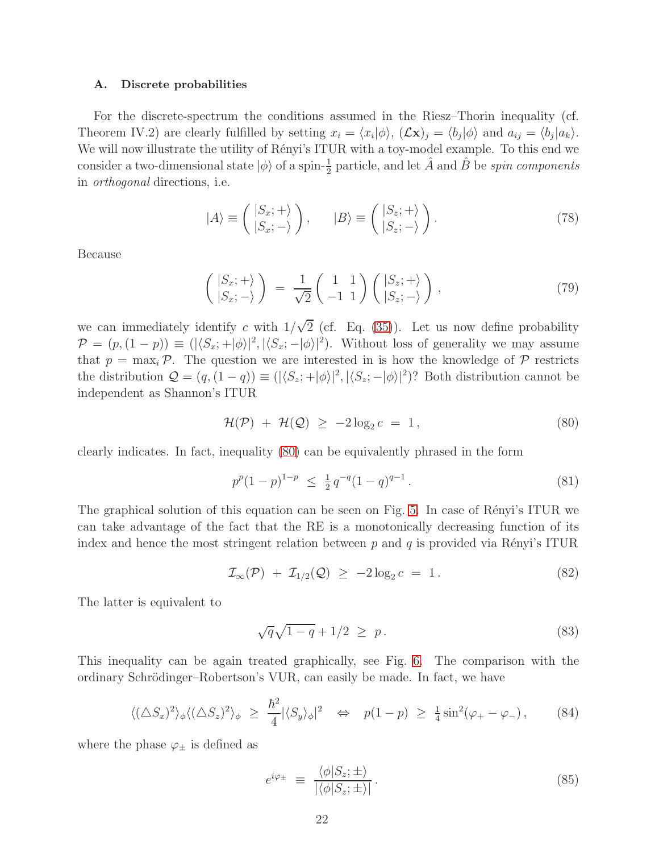#### A. Discrete probabilities

For the discrete-spectrum the conditions assumed in the Riesz–Thorin inequality (cf. Theorem IV.2) are clearly fulfilled by setting  $x_i = \langle x_i | \phi \rangle$ ,  $(\mathcal{L} \mathbf{x})_j = \langle b_j | \phi \rangle$  and  $a_{ij} = \langle b_j | a_k \rangle$ . We will now illustrate the utility of Rényi's ITUR with a toy-model example. To this end we consider a two-dimensional state  $|\phi\rangle$  of a spin- $\frac{1}{2}$  particle, and let  $\hat{A}$  and  $\hat{B}$  be *spin components* in orthogonal directions, i.e.

$$
|A\rangle \equiv \left(\begin{array}{c} |S_x; +\rangle \\ |S_x; -\rangle \end{array}\right), \qquad |B\rangle \equiv \left(\begin{array}{c} |S_z; +\rangle \\ |S_z; -\rangle \end{array}\right). \tag{78}
$$

Because

$$
\begin{pmatrix}\n|S_x; +\rangle \\
|S_x; -\rangle\n\end{pmatrix} = \frac{1}{\sqrt{2}} \begin{pmatrix} 1 & 1 \\
-1 & 1 \end{pmatrix} \begin{pmatrix} |S_z; +\rangle \\
|S_z; -\rangle\n\end{pmatrix},
$$
\n(79)

we can immediately identify c with  $1/\sqrt{2}$  (cf. Eq. [\(35\)](#page-13-0)). Let us now define probability  $\mathcal{P} = (p, (1-p)) \equiv (|\langle S_x; +|\phi \rangle|^2, |\langle S_x; -|\phi \rangle|^2)$ . Without loss of generality we may assume that  $p = \max_i \mathcal{P}$ . The question we are interested in is how the knowledge of  $\mathcal{P}$  restricts the distribution  $\mathcal{Q} = (q, (1-q)) \equiv (|\langle S_z; +|\phi \rangle|^2, |\langle S_z; -|\phi \rangle|^2)$ ? Both distribution cannot be independent as Shannon's ITUR

<span id="page-21-0"></span>
$$
\mathcal{H}(\mathcal{P}) + \mathcal{H}(\mathcal{Q}) \ge -2\log_2 c = 1,
$$
\n(80)

clearly indicates. In fact, inequality [\(80\)](#page-21-0) can be equivalently phrased in the form

<span id="page-21-1"></span>
$$
p^p (1-p)^{1-p} \le \frac{1}{2} q^{-q} (1-q)^{q-1} . \tag{81}
$$

The graphical solution of this equation can be seen on Fig. [5.](#page-22-0) In case of Rényi's ITUR we can take advantage of the fact that the RE is a monotonically decreasing function of its index and hence the most stringent relation between  $p$  and  $q$  is provided via Rényi's ITUR

$$
\mathcal{I}_{\infty}(\mathcal{P}) + \mathcal{I}_{1/2}(\mathcal{Q}) \geq -2\log_2 c = 1.
$$
\n(82)

The latter is equivalent to

<span id="page-21-2"></span>
$$
\sqrt{q}\sqrt{1-q} + 1/2 \ge p. \tag{83}
$$

This inequality can be again treated graphically, see Fig. [6.](#page-22-1) The comparison with the ordinary Schrödinger–Robertson's VUR, can easily be made. In fact, we have

<span id="page-21-3"></span>
$$
\langle (\Delta S_x)^2 \rangle_{\phi} \langle (\Delta S_z)^2 \rangle_{\phi} \ge \frac{\hbar^2}{4} |\langle S_y \rangle_{\phi}|^2 \Leftrightarrow p(1-p) \ge \frac{1}{4} \sin^2(\varphi_+ - \varphi_-), \qquad (84)
$$

where the phase  $\varphi_{\pm}$  is defined as

$$
e^{i\varphi_{\pm}} \equiv \frac{\langle \phi | S_z; \pm \rangle}{|\langle \phi | S_z; \pm \rangle|}.
$$
\n(85)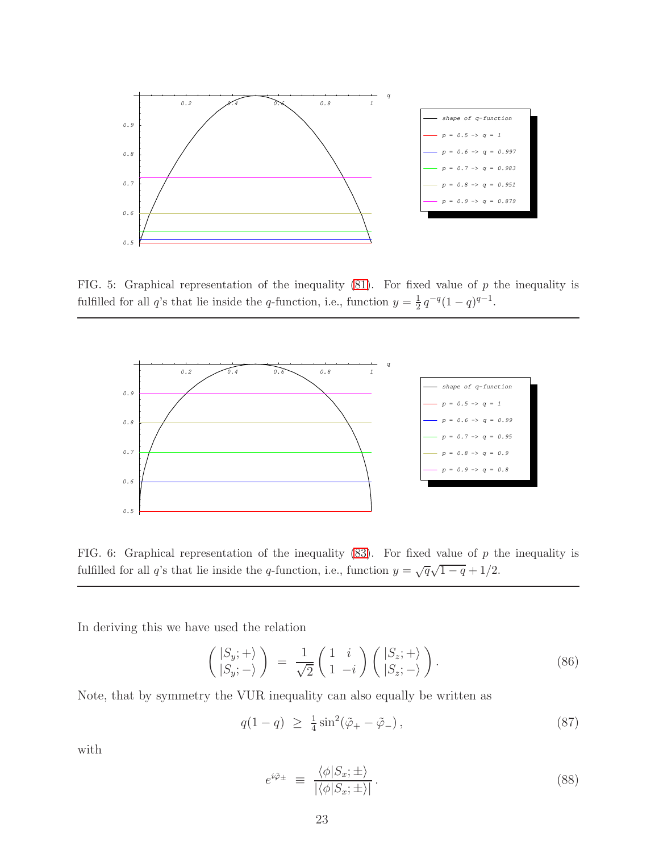

<span id="page-22-0"></span>FIG. 5: Graphical representation of the inequality  $(81)$ . For fixed value of p the inequality is fulfilled for all q's that lie inside the q-function, i.e., function  $y = \frac{1}{2}$  $\frac{1}{2}q^{-q}(1-q)^{q-1}.$ 



<span id="page-22-1"></span>FIG. 6: Graphical representation of the inequality  $(83)$ . For fixed value of p the inequality is fulfilled for all q's that lie inside the q-function, i.e., function  $y = \sqrt{q}\sqrt{1-q} + 1/2$ .

In deriving this we have used the relation

$$
\begin{pmatrix}\n|S_y; +\rangle \\
|S_y; -\rangle\n\end{pmatrix} = \frac{1}{\sqrt{2}} \begin{pmatrix} 1 & i \\
1 & -i \end{pmatrix} \begin{pmatrix} |S_z; +\rangle \\
|S_z; -\rangle\n\end{pmatrix}.
$$
\n(86)

Note, that by symmetry the VUR inequality can also equally be written as

<span id="page-22-2"></span>
$$
q(1-q) \ \geq \ \frac{1}{4}\sin^2(\tilde{\varphi}_+ - \tilde{\varphi}_-)\,,\tag{87}
$$

with

$$
e^{i\tilde{\varphi}_{\pm}} \equiv \frac{\langle \phi | S_x; \pm \rangle}{|\langle \phi | S_x; \pm \rangle|} \,. \tag{88}
$$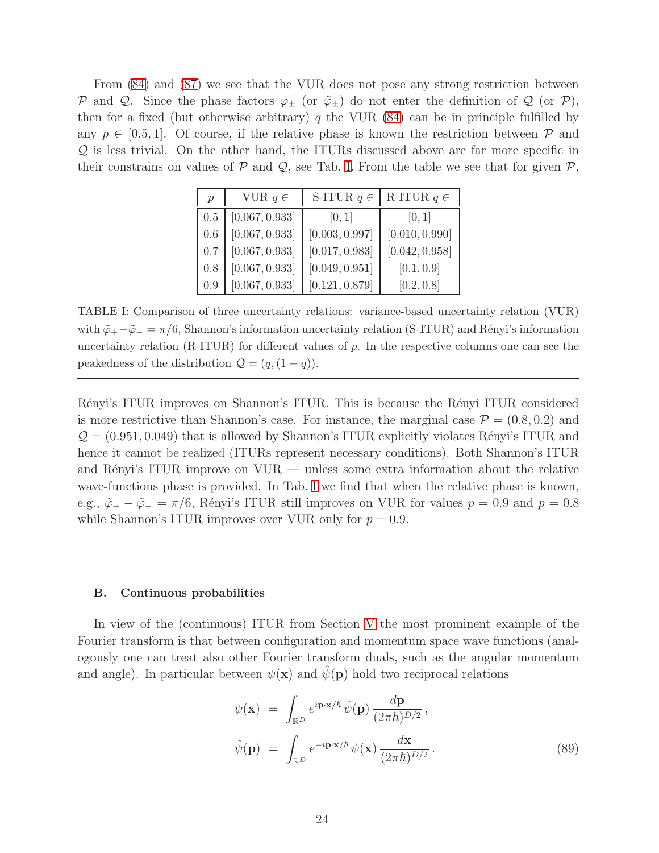From [\(84\)](#page-21-3) and [\(87\)](#page-22-2) we see that the VUR does not pose any strong restriction between P and Q. Since the phase factors  $\varphi_{\pm}$  (or  $\tilde{\varphi}_{\pm}$ ) do not enter the definition of Q (or P), then for a fixed (but otherwise arbitrary) q the VUR  $(84)$  can be in principle fulfilled by any  $p \in [0.5, 1]$ . Of course, if the relative phase is known the restriction between P and Q is less trivial. On the other hand, the ITURs discussed above are far more specific in their constrains on values of  $P$  and  $Q$ , see Tab. [I.](#page-23-1) From the table we see that for given  $P$ ,

| $\mathcal{D}$ | VUR $q \in$    | S-ITUR $q \in$ | R-ITUR $q \in$ |
|---------------|----------------|----------------|----------------|
| 0.5           | [0.067, 0.933] | [0, 1]         | [0, 1]         |
| 0.6           | [0.067, 0.933] | [0.003, 0.997] | [0.010, 0.990] |
| 0.7           | [0.067, 0.933] | [0.017, 0.983] | [0.042, 0.958] |
| 0.8           | [0.067, 0.933] | [0.049, 0.951] | [0.1, 0.9]     |
| 0.9           | [0.067, 0.933] | [0.121, 0.879] | [0.2, 0.8]     |

<span id="page-23-1"></span>TABLE I: Comparison of three uncertainty relations: variance-based uncertainty relation (VUR) with  $\tilde{\varphi}_+-\tilde{\varphi}_-=\pi/6$ , Shannon's information uncertainty relation (S-ITUR) and Rényi's information uncertainty relation  $(R-TUR)$  for different values of p. In the respective columns one can see the peakedness of the distribution  $\mathcal{Q} = (q,(1-q)).$ 

Rényi's ITUR improves on Shannon's ITUR. This is because the Rényi ITUR considered is more restrictive than Shannon's case. For instance, the marginal case  $\mathcal{P} = (0.8, 0.2)$  and  $\mathcal{Q} = (0.951, 0.049)$  that is allowed by Shannon's ITUR explicitly violates Rényi's ITUR and hence it cannot be realized (ITURs represent necessary conditions). Both Shannon's ITUR and Rényi's ITUR improve on  $VUR$  — unless some extra information about the relative wave-functions phase is provided. In Tab. [I](#page-23-1) we find that when the relative phase is known, e.g.,  $\tilde{\varphi}_+ - \tilde{\varphi}_- = \pi/6$ , Rényi's ITUR still improves on VUR for values  $p = 0.9$  and  $p = 0.8$ while Shannon's ITUR improves over VUR only for  $p = 0.9$ .

#### <span id="page-23-0"></span>B. Continuous probabilities

In view of the (continuous) ITUR from Section [V](#page-15-0) the most prominent example of the Fourier transform is that between configuration and momentum space wave functions (analogously one can treat also other Fourier transform duals, such as the angular momentum and angle). In particular between  $\psi(\mathbf{x})$  and  $\psi(\mathbf{p})$  hold two reciprocal relations

<span id="page-23-2"></span>
$$
\psi(\mathbf{x}) = \int_{\mathbb{R}^D} e^{i\mathbf{p}\cdot\mathbf{x}/\hbar} \hat{\psi}(\mathbf{p}) \frac{d\mathbf{p}}{(2\pi\hbar)^{D/2}},
$$
  

$$
\hat{\psi}(\mathbf{p}) = \int_{\mathbb{R}^D} e^{-i\mathbf{p}\cdot\mathbf{x}/\hbar} \psi(\mathbf{x}) \frac{d\mathbf{x}}{(2\pi\hbar)^{D/2}}.
$$
 (89)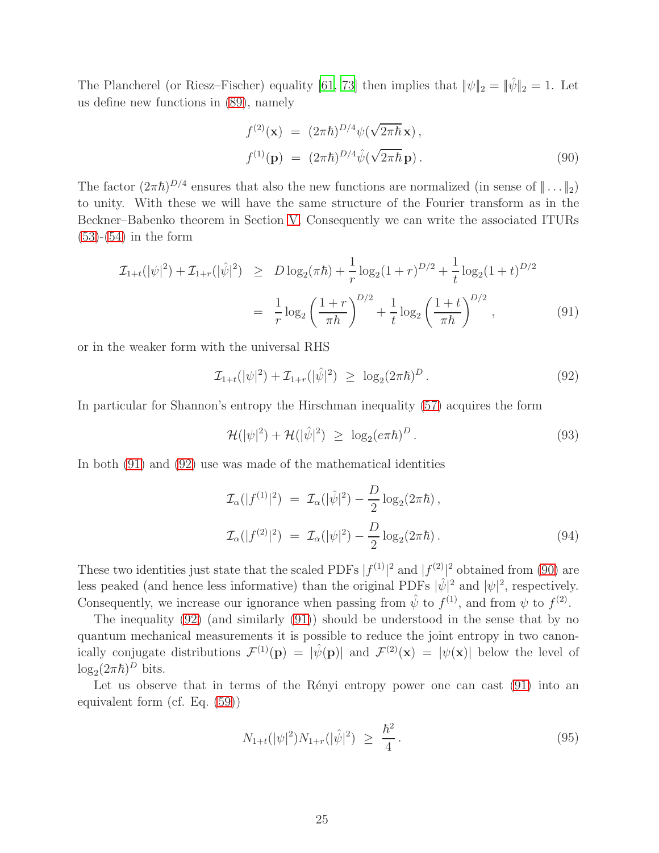The Plancherel (or Riesz–Fischer) equality [\[61](#page-35-25), [73\]](#page-36-12) then implies that  $\|\psi\|_2 = \|\hat{\psi}\|_2 = 1$ . Let us define new functions in [\(89\)](#page-23-2), namely

<span id="page-24-2"></span>
$$
f^{(2)}(\mathbf{x}) = (2\pi\hbar)^{D/4}\psi(\sqrt{2\pi\hbar}\,\mathbf{x}),
$$
  

$$
f^{(1)}(\mathbf{p}) = (2\pi\hbar)^{D/4}\hat{\psi}(\sqrt{2\pi\hbar}\,\mathbf{p}).
$$
 (90)

The factor  $(2\pi\hbar)^{D/4}$  ensures that also the new functions are normalized (in sense of  $\|\ldots\|_2$ ) to unity. With these we will have the same structure of the Fourier transform as in the Beckner–Babenko theorem in Section [V.](#page-15-0) Consequently we can write the associated ITURs  $(53)-(54)$  $(53)-(54)$  $(53)-(54)$  in the form

<span id="page-24-0"></span>
$$
\mathcal{I}_{1+t}(|\psi|^2) + \mathcal{I}_{1+r}(|\hat{\psi}|^2) \geq D \log_2(\pi \hbar) + \frac{1}{r} \log_2(1+r)^{D/2} + \frac{1}{t} \log_2(1+t)^{D/2}
$$

$$
= \frac{1}{r} \log_2 \left(\frac{1+r}{\pi \hbar}\right)^{D/2} + \frac{1}{t} \log_2 \left(\frac{1+t}{\pi \hbar}\right)^{D/2}, \tag{91}
$$

or in the weaker form with the universal RHS

<span id="page-24-1"></span>
$$
\mathcal{I}_{1+t}(|\psi|^2) + \mathcal{I}_{1+r}(|\hat{\psi}|^2) \ge \log_2(2\pi\hbar)^D.
$$
\n(92)

In particular for Shannon's entropy the Hirschman inequality [\(57\)](#page-17-4) acquires the form

<span id="page-24-3"></span>
$$
\mathcal{H}(|\psi|^2) + \mathcal{H}(|\hat{\psi}|^2) \ge \log_2(e\pi\hbar)^D.
$$
 (93)

In both [\(91\)](#page-24-0) and [\(92\)](#page-24-1) use was made of the mathematical identities

$$
\mathcal{I}_{\alpha}(|f^{(1)}|^{2}) = \mathcal{I}_{\alpha}(|\hat{\psi}|^{2}) - \frac{D}{2}\log_{2}(2\pi\hbar),
$$
  

$$
\mathcal{I}_{\alpha}(|f^{(2)}|^{2}) = \mathcal{I}_{\alpha}(|\psi|^{2}) - \frac{D}{2}\log_{2}(2\pi\hbar).
$$
 (94)

These two identities just state that the scaled PDFs  $|f^{(1)}|^2$  and  $|f^{(2)}|^2$  obtained from [\(90\)](#page-24-2) are less peaked (and hence less informative) than the original PDFs  $|\hat{\psi}|^2$  and  $|\psi|^2$ , respectively. Consequently, we increase our ignorance when passing from  $\hat{\psi}$  to  $f^{(1)}$ , and from  $\psi$  to  $f^{(2)}$ .

The inequality [\(92\)](#page-24-1) (and similarly [\(91\)](#page-24-0)) should be understood in the sense that by no quantum mechanical measurements it is possible to reduce the joint entropy in two canonically conjugate distributions  $\mathcal{F}^{(1)}(\mathbf{p}) = |\hat{\psi}(\mathbf{p})|$  and  $\mathcal{F}^{(2)}(\mathbf{x}) = |\psi(\mathbf{x})|$  below the level of  $\log_2(2\pi\hbar)^D$  bits.

Let us observe that in terms of the Rényi entropy power one can cast  $(91)$  into an equivalent form (cf. Eq. [\(59\)](#page-17-1))

$$
N_{1+t}(|\psi|^2)N_{1+r}(|\hat{\psi}|^2) \ \geq \ \frac{\hbar^2}{4} \,. \tag{95}
$$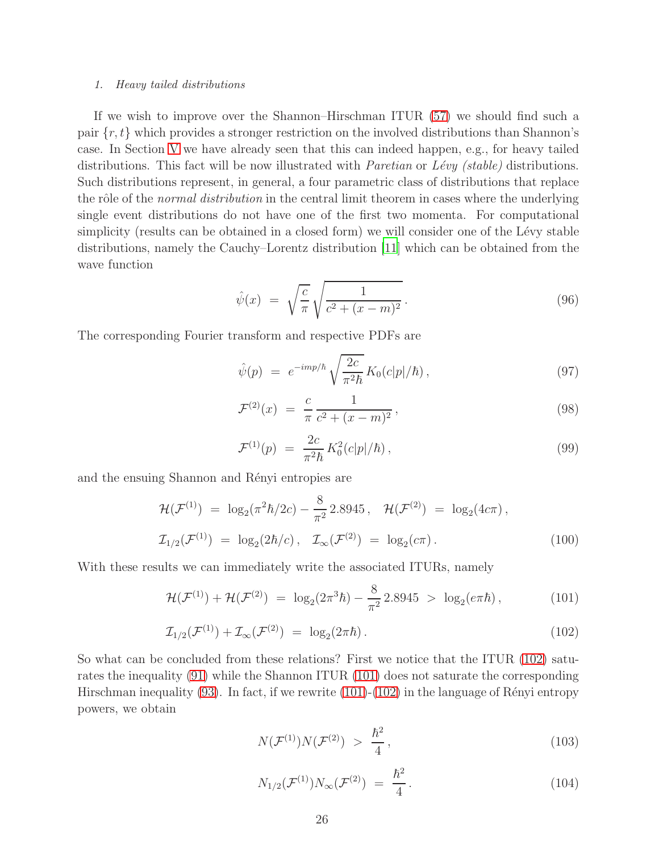#### 1. Heavy tailed distributions

If we wish to improve over the Shannon–Hirschman ITUR [\(57\)](#page-17-4) we should find such a pair  $\{r, t\}$  which provides a stronger restriction on the involved distributions than Shannon's case. In Section [V](#page-15-0) we have already seen that this can indeed happen, e.g., for heavy tailed distributions. This fact will be now illustrated with *Paretian* or  $Lévy$  (stable) distributions. Such distributions represent, in general, a four parametric class of distributions that replace the rôle of the *normal distribution* in the central limit theorem in cases where the underlying single event distributions do not have one of the first two momenta. For computational simplicity (results can be obtained in a closed form) we will consider one of the Lévy stable distributions, namely the Cauchy–Lorentz distribution [\[11](#page-34-13)] which can be obtained from the wave function

$$
\hat{\psi}(x) = \sqrt{\frac{c}{\pi}} \sqrt{\frac{1}{c^2 + (x - m)^2}}.
$$
\n(96)

The corresponding Fourier transform and respective PDFs are

$$
\hat{\psi}(p) = e^{-imp/\hbar} \sqrt{\frac{2c}{\pi^2 \hbar}} K_0(c|p|/\hbar) , \qquad (97)
$$

$$
\mathcal{F}^{(2)}(x) = \frac{c}{\pi} \frac{1}{c^2 + (x - m)^2},\tag{98}
$$

$$
\mathcal{F}^{(1)}(p) = \frac{2c}{\pi^2 \hbar} K_0^2(c|p|/\hbar), \qquad (99)
$$

and the ensuing Shannon and Rényi entropies are

$$
\mathcal{H}(\mathcal{F}^{(1)}) = \log_2(\pi^2 \hbar/2c) - \frac{8}{\pi^2} 2.8945, \quad \mathcal{H}(\mathcal{F}^{(2)}) = \log_2(4c\pi), \mathcal{I}_{1/2}(\mathcal{F}^{(1)}) = \log_2(2\hbar/c), \quad \mathcal{I}_{\infty}(\mathcal{F}^{(2)}) = \log_2(c\pi).
$$
\n(100)

With these results we can immediately write the associated ITURs, namely

<span id="page-25-0"></span>
$$
\mathcal{H}(\mathcal{F}^{(1)}) + \mathcal{H}(\mathcal{F}^{(2)}) = \log_2(2\pi^3 \hbar) - \frac{8}{\pi^2} 2.8945 > \log_2(e\pi \hbar), \tag{101}
$$

$$
\mathcal{I}_{1/2}(\mathcal{F}^{(1)}) + \mathcal{I}_{\infty}(\mathcal{F}^{(2)}) = \log_2(2\pi\hbar).
$$
 (102)

So what can be concluded from these relations? First we notice that the ITUR [\(102\)](#page-25-0) saturates the inequality [\(91\)](#page-24-0) while the Shannon ITUR [\(101\)](#page-25-0) does not saturate the corresponding Hirschman inequality  $(93)$ . In fact, if we rewrite  $(101)-(102)$  $(101)-(102)$  in the language of Rényi entropy powers, we obtain

<span id="page-25-1"></span>
$$
N(\mathcal{F}^{(1)})N(\mathcal{F}^{(2)}) > \frac{\hbar^2}{4},\tag{103}
$$

$$
N_{1/2}(\mathcal{F}^{(1)})N_{\infty}(\mathcal{F}^{(2)}) = \frac{\hbar^2}{4}.
$$
\n(104)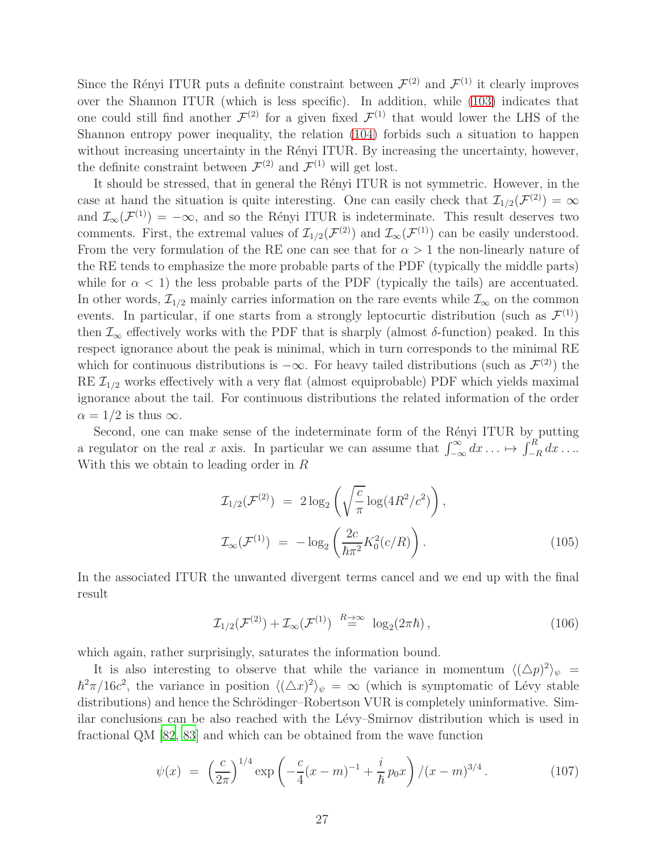Since the Rényi ITUR puts a definite constraint between  $\mathcal{F}^{(2)}$  and  $\mathcal{F}^{(1)}$  it clearly improves over the Shannon ITUR (which is less specific). In addition, while [\(103\)](#page-25-1) indicates that one could still find another  $\mathcal{F}^{(2)}$  for a given fixed  $\mathcal{F}^{(1)}$  that would lower the LHS of the Shannon entropy power inequality, the relation [\(104\)](#page-25-1) forbids such a situation to happen without increasing uncertainty in the Rényi ITUR. By increasing the uncertainty, however, the definite constraint between  $\mathcal{F}^{(2)}$  and  $\mathcal{F}^{(1)}$  will get lost.

It should be stressed, that in general the Rényi ITUR is not symmetric. However, in the case at hand the situation is quite interesting. One can easily check that  $\mathcal{I}_{1/2}(\mathcal{F}^{(2)}) = \infty$ and  $\mathcal{I}_{\infty}(\mathcal{F}^{(1)}) = -\infty$ , and so the Rényi ITUR is indeterminate. This result deserves two comments. First, the extremal values of  $\mathcal{I}_{1/2}(\mathcal{F}^{(2)})$  and  $\mathcal{I}_{\infty}(\mathcal{F}^{(1)})$  can be easily understood. From the very formulation of the RE one can see that for  $\alpha > 1$  the non-linearly nature of the RE tends to emphasize the more probable parts of the PDF (typically the middle parts) while for  $\alpha$  < 1) the less probable parts of the PDF (typically the tails) are accentuated. In other words,  $\mathcal{I}_{1/2}$  mainly carries information on the rare events while  $\mathcal{I}_{\infty}$  on the common events. In particular, if one starts from a strongly leptocurtic distribution (such as  $\mathcal{F}^{(1)}$ ) then  $\mathcal{I}_{\infty}$  effectively works with the PDF that is sharply (almost  $\delta$ -function) peaked. In this respect ignorance about the peak is minimal, which in turn corresponds to the minimal RE which for continuous distributions is  $-\infty$ . For heavy tailed distributions (such as  $\mathcal{F}^{(2)}$ ) the RE  $\mathcal{I}_{1/2}$  works effectively with a very flat (almost equiprobable) PDF which yields maximal ignorance about the tail. For continuous distributions the related information of the order  $\alpha = 1/2$  is thus  $\infty$ .

Second, one can make sense of the indeterminate form of the Rényi ITUR by putting a regulator on the real x axis. In particular we can assume that  $\int_{-\infty}^{\infty} dx \dots \mapsto \int_{-R}^{R} dx \dots$ With this we obtain to leading order in R

$$
\mathcal{I}_{1/2}(\mathcal{F}^{(2)}) = 2\log_2\left(\sqrt{\frac{c}{\pi}}\log(4R^2/c^2)\right),
$$
  

$$
\mathcal{I}_{\infty}(\mathcal{F}^{(1)}) = -\log_2\left(\frac{2c}{\hbar\pi^2}K_0^2(c/R)\right).
$$
 (105)

In the associated ITUR the unwanted divergent terms cancel and we end up with the final result

$$
\mathcal{I}_{1/2}(\mathcal{F}^{(2)}) + \mathcal{I}_{\infty}(\mathcal{F}^{(1)}) \stackrel{R \to \infty}{=} \log_2(2\pi\hbar), \qquad (106)
$$

which again, rather surprisingly, saturates the information bound.

It is also interesting to observe that while the variance in momentum  $\langle (\Delta p)^2 \rangle_{\psi}$  =  $\hbar^2 \pi / 16c^2$ , the variance in position  $\langle (\Delta x)^2 \rangle_{\psi} = \infty$  (which is symptomatic of Lévy stable distributions) and hence the Schrödinger–Robertson VUR is completely uninformative. Similar conclusions can be also reached with the Lévy–Smirnov distribution which is used in fractional QM [\[82](#page-36-13), [83\]](#page-36-14) and which can be obtained from the wave function

$$
\psi(x) = \left(\frac{c}{2\pi}\right)^{1/4} \exp\left(-\frac{c}{4}(x-m)^{-1} + \frac{i}{\hbar}p_0x\right) / (x-m)^{3/4}.
$$
 (107)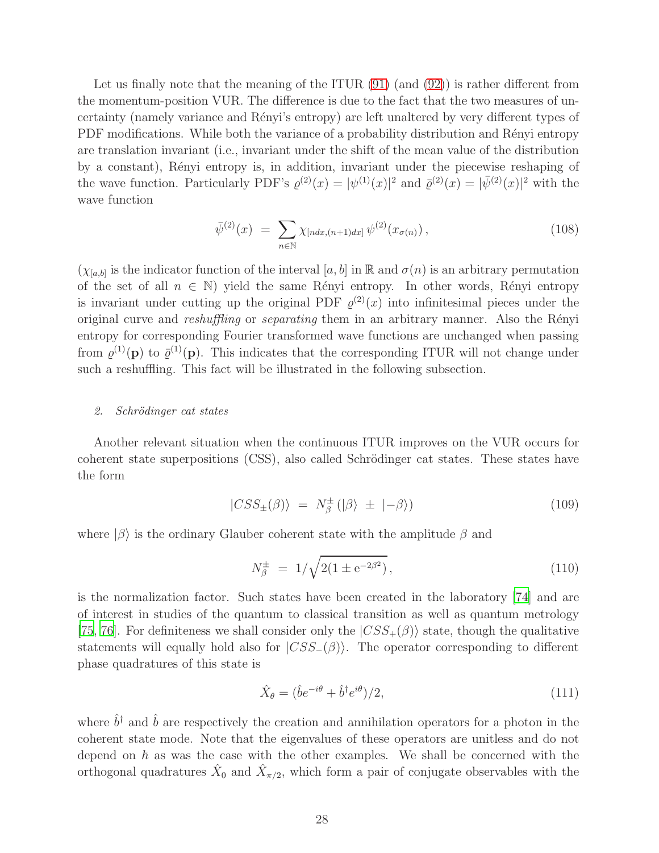Let us finally note that the meaning of the ITUR  $(91)$  (and  $(92)$ ) is rather different from the momentum-position VUR. The difference is due to the fact that the two measures of uncertainty (namely variance and Rényi's entropy) are left unaltered by very different types of PDF modifications. While both the variance of a probability distribution and Rényi entropy are translation invariant (i.e., invariant under the shift of the mean value of the distribution by a constant), R´enyi entropy is, in addition, invariant under the piecewise reshaping of the wave function. Particularly PDF's  $\varrho^{(2)}(x) = |\psi^{(1)}(x)|^2$  and  $\bar{\varrho}^{(2)}(x) = |\bar{\psi}^{(2)}(x)|^2$  with the wave function

$$
\bar{\psi}^{(2)}(x) = \sum_{n \in \mathbb{N}} \chi_{[ndx, (n+1)dx]} \psi^{(2)}(x_{\sigma(n)}) , \qquad (108)
$$

 $(\chi_{[a,b]}$  is the indicator function of the interval  $[a,b]$  in R and  $\sigma(n)$  is an arbitrary permutation of the set of all  $n \in \mathbb{N}$ ) yield the same Rényi entropy. In other words, Rényi entropy is invariant under cutting up the original PDF  $\varrho^{(2)}(x)$  into infinitesimal pieces under the original curve and *reshuffling* or *separating* them in an arbitrary manner. Also the Rényi entropy for corresponding Fourier transformed wave functions are unchanged when passing from  $\varrho^{(1)}(\mathbf{p})$  to  $\bar{\varrho}^{(1)}(\mathbf{p})$ . This indicates that the corresponding ITUR will not change under such a reshuffling. This fact will be illustrated in the following subsection.

#### 2. Schrödinger cat states

Another relevant situation when the continuous ITUR improves on the VUR occurs for coherent state superpositions (CSS), also called Schrödinger cat states. These states have the form

<span id="page-27-0"></span>
$$
|CSS_{\pm}(\beta)\rangle = N_{\beta}^{\pm}(|\beta\rangle \pm |-\beta\rangle)
$$
 (109)

where  $|\beta\rangle$  is the ordinary Glauber coherent state with the amplitude  $\beta$  and

$$
N_{\beta}^{\pm} = 1/\sqrt{2(1 \pm e^{-2\beta^2})}, \qquad (110)
$$

is the normalization factor. Such states have been created in the laboratory [\[74](#page-36-15)] and are of interest in studies of the quantum to classical transition as well as quantum metrology [\[75](#page-36-16), [76](#page-36-17)]. For definiteness we shall consider only the  $(CSS_{+}(\beta))$  state, though the qualitative statements will equally hold also for  $|CSS_{-}(\beta)\rangle$ . The operator corresponding to different phase quadratures of this state is

$$
\hat{X}_{\theta} = (\hat{b}e^{-i\theta} + \hat{b}^{\dagger}e^{i\theta})/2, \tag{111}
$$

where  $\hat{b}^{\dagger}$  and  $\hat{b}$  are respectively the creation and annihilation operators for a photon in the coherent state mode. Note that the eigenvalues of these operators are unitless and do not depend on  $h$  as was the case with the other examples. We shall be concerned with the orthogonal quadratures  $\hat{X}_0$  and  $\hat{X}_{\pi/2}$ , which form a pair of conjugate observables with the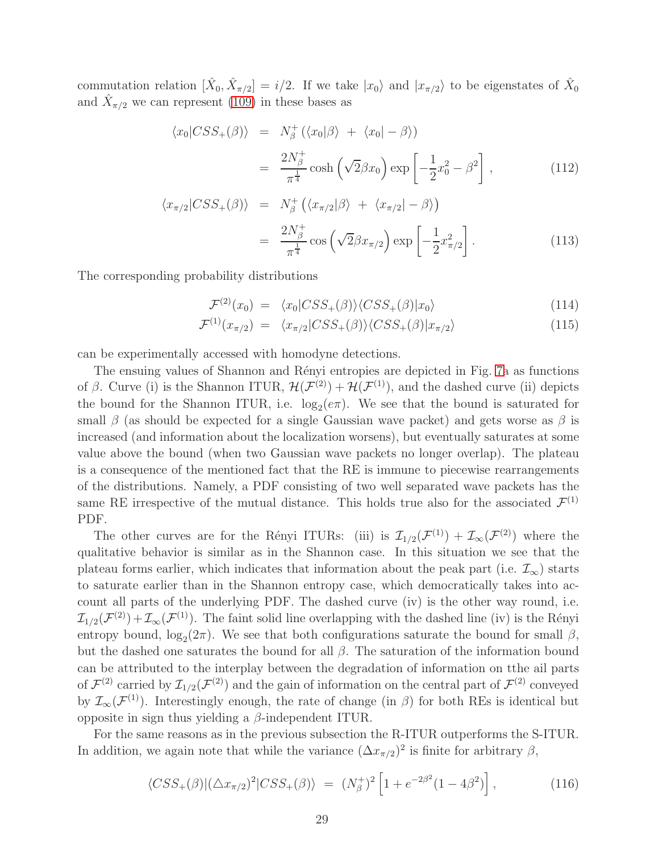commutation relation  $[\hat{X}_0, \hat{X}_{\pi/2}] = i/2$ . If we take  $|x_0\rangle$  and  $|x_{\pi/2}\rangle$  to be eigenstates of  $\hat{X}_0$ and  $\hat{X}_{\pi/2}$  we can represent [\(109\)](#page-27-0) in these bases as

$$
\langle x_0 | CSS_+(\beta) \rangle = N_\beta^+ (\langle x_0 | \beta \rangle + \langle x_0 | - \beta \rangle)
$$
  

$$
= \frac{2N_\beta^+}{\pi^{\frac{1}{4}}} \cosh\left(\sqrt{2}\beta x_0\right) \exp\left[-\frac{1}{2}x_0^2 - \beta^2\right],
$$
(112)

$$
\langle x_{\pi/2} | CSS_+(\beta) \rangle = N_\beta^+ \left( \langle x_{\pi/2} | \beta \rangle + \langle x_{\pi/2} | -\beta \rangle \right)
$$
  

$$
= \frac{2N_\beta^+}{\pi^{\frac{1}{4}}} \cos \left( \sqrt{2} \beta x_{\pi/2} \right) \exp \left[ -\frac{1}{2} x_{\pi/2}^2 \right]. \tag{113}
$$

The corresponding probability distributions

$$
\mathcal{F}^{(2)}(x_0) = \langle x_0 | CSS_+(\beta) \rangle \langle CSS_+(\beta) | x_0 \rangle \tag{114}
$$

$$
\mathcal{F}^{(1)}(x_{\pi/2}) = \langle x_{\pi/2} | CSS_+(\beta) \rangle \langle CSS_+(\beta) | x_{\pi/2} \rangle \tag{115}
$$

can be experimentally accessed with homodyne detections.

The ensuing values of Shannon and Rényi entropies are depicted in Fig. [7a](#page-29-0) as functions of  $\beta$ . Curve (i) is the Shannon ITUR,  $\mathcal{H}(\mathcal{F}^{(2)}) + \mathcal{H}(\mathcal{F}^{(1)})$ , and the dashed curve (ii) depicts the bound for the Shannon ITUR, i.e.  $log_2(e\pi)$ . We see that the bound is saturated for small  $\beta$  (as should be expected for a single Gaussian wave packet) and gets worse as  $\beta$  is increased (and information about the localization worsens), but eventually saturates at some value above the bound (when two Gaussian wave packets no longer overlap). The plateau is a consequence of the mentioned fact that the RE is immune to piecewise rearrangements of the distributions. Namely, a PDF consisting of two well separated wave packets has the same RE irrespective of the mutual distance. This holds true also for the associated  $\mathcal{F}^{(1)}$ PDF.

The other curves are for the Rényi ITURs: (iii) is  $\mathcal{I}_{1/2}(\mathcal{F}^{(1)}) + \mathcal{I}_{\infty}(\mathcal{F}^{(2)})$  where the qualitative behavior is similar as in the Shannon case. In this situation we see that the plateau forms earlier, which indicates that information about the peak part (i.e.  $\mathcal{I}_{\infty}$ ) starts to saturate earlier than in the Shannon entropy case, which democratically takes into account all parts of the underlying PDF. The dashed curve (iv) is the other way round, i.e.  $\mathcal{I}_{1/2}(\mathcal{F}^{(2)})+\mathcal{I}_{\infty}(\mathcal{F}^{(1)})$ . The faint solid line overlapping with the dashed line (iv) is the Rényi entropy bound,  $\log_2(2\pi)$ . We see that both configurations saturate the bound for small  $\beta$ , but the dashed one saturates the bound for all  $\beta$ . The saturation of the information bound can be attributed to the interplay between the degradation of information on tthe ail parts of  $\mathcal{F}^{(2)}$  carried by  $\mathcal{I}_{1/2}(\mathcal{F}^{(2)})$  and the gain of information on the central part of  $\mathcal{F}^{(2)}$  conveyed by  $\mathcal{I}_{\infty}(\mathcal{F}^{(1)})$ . Interestingly enough, the rate of change (in  $\beta$ ) for both REs is identical but opposite in sign thus yielding a β-independent ITUR.

For the same reasons as in the previous subsection the R-ITUR outperforms the S-ITUR. In addition, we again note that while the variance  $(\Delta x_{\pi/2})^2$  is finite for arbitrary  $\beta$ ,

$$
\langle CSS_+(\beta)|(\Delta x_{\pi/2})^2|CSS_+(\beta)\rangle = (N_\beta^+)^2 \left[1 + e^{-2\beta^2}(1 - 4\beta^2)\right],\tag{116}
$$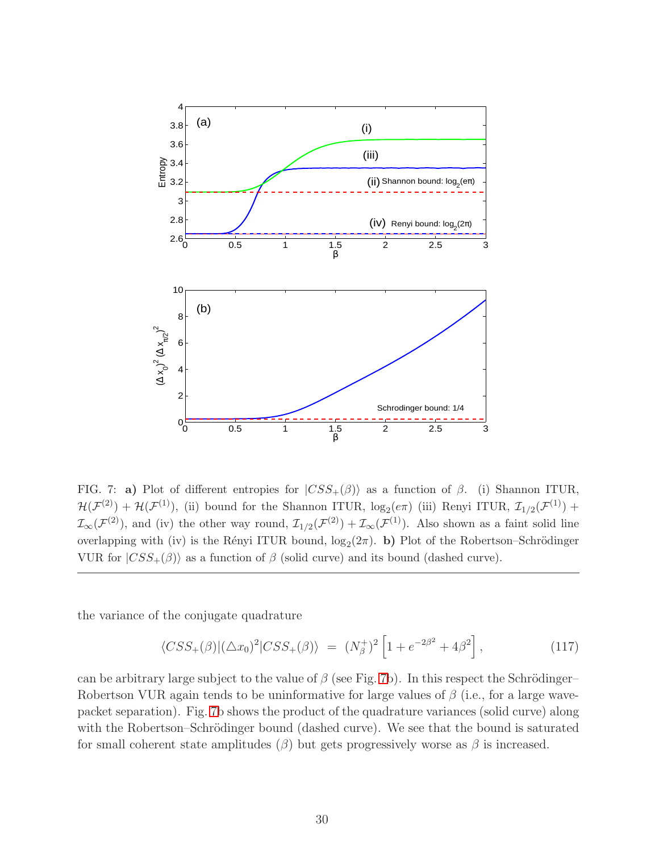

<span id="page-29-0"></span>FIG. 7: a) Plot of different entropies for  $|CSS_+(\beta)\rangle$  as a function of  $\beta$ . (i) Shannon ITUR,  $\mathcal{H}(\mathcal{F}^{(2)}) + \mathcal{H}(\mathcal{F}^{(1)})$ , (ii) bound for the Shannon ITUR,  $\log_2(e\pi)$  (iii) Renyi ITUR,  $\mathcal{I}_{1/2}(\mathcal{F}^{(1)}) +$  $\mathcal{I}_{\infty}(\mathcal{F}^{(2)})$ , and (iv) the other way round,  $\mathcal{I}_{1/2}(\mathcal{F}^{(2)}) + \mathcal{I}_{\infty}(\mathcal{F}^{(1)})$ . Also shown as a faint solid line overlapping with (iv) is the Rényi ITUR bound,  $\log_2(2\pi)$ . **b**) Plot of the Robertson–Schrödinger VUR for  $|CSS_{+}(\beta)\rangle$  as a function of  $\beta$  (solid curve) and its bound (dashed curve).

the variance of the conjugate quadrature

$$
\langle CSS_+(\beta)|(\Delta x_0)^2|CSS_+(\beta)\rangle = (N_\beta^+)^2 \left[1 + e^{-2\beta^2} + 4\beta^2\right],\tag{117}
$$

can be arbitrary large subject to the value of  $\beta$  (see Fig. [7b](#page-29-0)). In this respect the Schrödinger– Robertson VUR again tends to be uninformative for large values of  $\beta$  (i.e., for a large wavepacket separation). Fig. [7b](#page-29-0) shows the product of the quadrature variances (solid curve) along with the Robertson–Schrödinger bound (dashed curve). We see that the bound is saturated for small coherent state amplitudes  $(\beta)$  but gets progressively worse as  $\beta$  is increased.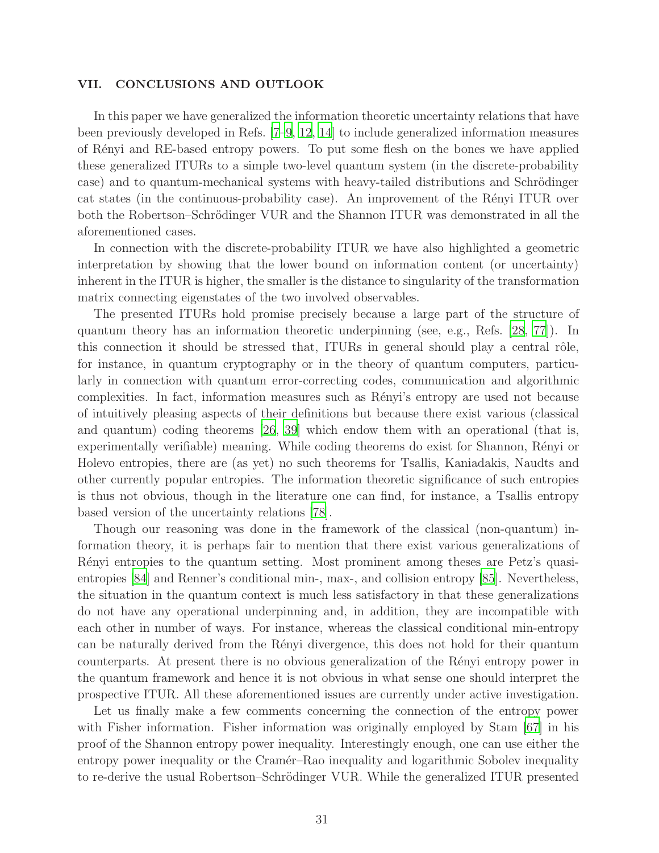### <span id="page-30-0"></span>VII. CONCLUSIONS AND OUTLOOK

In this paper we have generalized the information theoretic uncertainty relations that have been previously developed in Refs. [\[7](#page-34-8)[–9,](#page-34-9) [12,](#page-34-10) [14](#page-34-11)] to include generalized information measures of R´enyi and RE-based entropy powers. To put some flesh on the bones we have applied these generalized ITURs to a simple two-level quantum system (in the discrete-probability case) and to quantum-mechanical systems with heavy-tailed distributions and Schrödinger cat states (in the continuous-probability case). An improvement of the Rényi ITUR over both the Robertson–Schrödinger VUR and the Shannon ITUR was demonstrated in all the aforementioned cases.

In connection with the discrete-probability ITUR we have also highlighted a geometric interpretation by showing that the lower bound on information content (or uncertainty) inherent in the ITUR is higher, the smaller is the distance to singularity of the transformation matrix connecting eigenstates of the two involved observables.

The presented ITURs hold promise precisely because a large part of the structure of quantum theory has an information theoretic underpinning (see, e.g., Refs. [\[28,](#page-34-22) [77\]](#page-36-18)). In this connection it should be stressed that, ITURs in general should play a central rôle, for instance, in quantum cryptography or in the theory of quantum computers, particularly in connection with quantum error-correcting codes, communication and algorithmic complexities. In fact, information measures such as Rényi's entropy are used not because of intuitively pleasing aspects of their definitions but because there exist various (classical and quantum) coding theorems [\[26](#page-34-20), [39](#page-35-10)] which endow them with an operational (that is, experimentally verifiable) meaning. While coding theorems do exist for Shannon, Rényi or Holevo entropies, there are (as yet) no such theorems for Tsallis, Kaniadakis, Naudts and other currently popular entropies. The information theoretic significance of such entropies is thus not obvious, though in the literature one can find, for instance, a Tsallis entropy based version of the uncertainty relations [\[78](#page-36-19)].

Though our reasoning was done in the framework of the classical (non-quantum) information theory, it is perhaps fair to mention that there exist various generalizations of Rényi entropies to the quantum setting. Most prominent among theses are Petz's quasientropies [\[84](#page-36-20)] and Renner's conditional min-, max-, and collision entropy [\[85\]](#page-36-21). Nevertheless, the situation in the quantum context is much less satisfactory in that these generalizations do not have any operational underpinning and, in addition, they are incompatible with each other in number of ways. For instance, whereas the classical conditional min-entropy can be naturally derived from the Rényi divergence, this does not hold for their quantum counterparts. At present there is no obvious generalization of the Rényi entropy power in the quantum framework and hence it is not obvious in what sense one should interpret the prospective ITUR. All these aforementioned issues are currently under active investigation.

Let us finally make a few comments concerning the connection of the entropy power with Fisher information. Fisher information was originally employed by Stam [\[67](#page-36-1)] in his proof of the Shannon entropy power inequality. Interestingly enough, one can use either the entropy power inequality or the Cramér–Rao inequality and logarithmic Sobolev inequality to re-derive the usual Robertson–Schrödinger VUR. While the generalized ITUR presented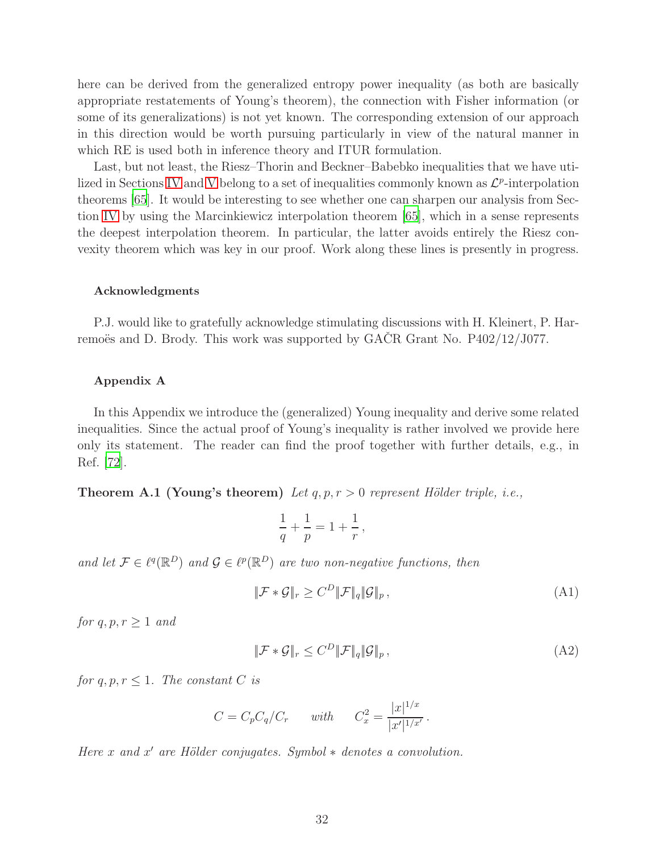here can be derived from the generalized entropy power inequality (as both are basically appropriate restatements of Young's theorem), the connection with Fisher information (or some of its generalizations) is not yet known. The corresponding extension of our approach in this direction would be worth pursuing particularly in view of the natural manner in which RE is used both in inference theory and ITUR formulation.

Last, but not least, the Riesz–Thorin and Beckner–Babebko inequalities that we have uti-lized in Sections [IV](#page-9-0) and [V](#page-15-0) belong to a set of inequalities commonly known as  $\mathcal{L}^p$ -interpolation theorems [\[65](#page-36-22)]. It would be interesting to see whether one can sharpen our analysis from Section [IV](#page-9-0) by using the Marcinkiewicz interpolation theorem [\[65\]](#page-36-22), which in a sense represents the deepest interpolation theorem. In particular, the latter avoids entirely the Riesz convexity theorem which was key in our proof. Work along these lines is presently in progress.

### Acknowledgments

P.J. would like to gratefully acknowledge stimulating discussions with H. Kleinert, P. Harremoës and D. Brody. This work was supported by  $GACR$  Grant No.  $P402/12/J077$ .

#### Appendix A

In this Appendix we introduce the (generalized) Young inequality and derive some related inequalities. Since the actual proof of Young's inequality is rather involved we provide here only its statement. The reader can find the proof together with further details, e.g., in Ref. [\[72\]](#page-36-2).

## **Theorem A.1 (Young's theorem)** Let  $q, p, r > 0$  represent Hölder triple, i.e.,

$$
\frac{1}{q} + \frac{1}{p} = 1 + \frac{1}{r},
$$

and let  $\mathcal{F} \in \ell^q(\mathbb{R}^D)$  and  $\mathcal{G} \in \ell^p(\mathbb{R}^D)$  are two non-negative functions, then

<span id="page-31-0"></span>
$$
\|\mathcal{F} * \mathcal{G}\|_{r} \ge C^{D} \|\mathcal{F}\|_{q} \|\mathcal{G}\|_{p},\tag{A1}
$$

for q, p,  $r > 1$  and

$$
\|\mathcal{F} * \mathcal{G}\|_{r} \le C^{D} \|\mathcal{F}\|_{q} \|\mathcal{G}\|_{p},\tag{A2}
$$

for  $q, p, r \leq 1$ . The constant C is

$$
C = C_p C_q / C_r
$$
 with  $C_x^2 = \frac{|x|^{1/x}}{|x'|^{1/x'}}.$ 

Here  $x$  and  $x'$  are Hölder conjugates. Symbol  $*$  denotes a convolution.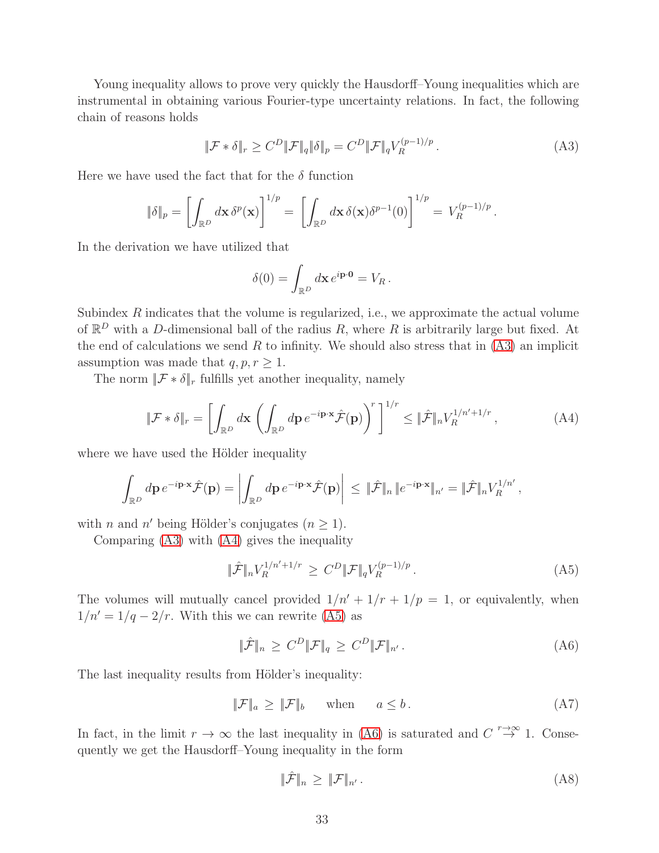Young inequality allows to prove very quickly the Hausdorff–Young inequalities which are instrumental in obtaining various Fourier-type uncertainty relations. In fact, the following chain of reasons holds

<span id="page-32-0"></span>
$$
\|\mathcal{F} * \delta\|_{r} \ge C^{D} \|\mathcal{F}\|_{q} \|\delta\|_{p} = C^{D} \|\mathcal{F}\|_{q} V_{R}^{(p-1)/p}.
$$
\n(A3)

Here we have used the fact that for the  $\delta$  function

$$
\|\delta\|_p = \left[\int_{\mathbb{R}^D} d\mathbf{x} \,\delta^p(\mathbf{x})\right]^{1/p} = \left[\int_{\mathbb{R}^D} d\mathbf{x} \,\delta(\mathbf{x})\delta^{p-1}(0)\right]^{1/p} = V_R^{(p-1)/p}.
$$

In the derivation we have utilized that

$$
\delta(0) = \int_{\mathbb{R}^D} d\mathbf{x} e^{i\mathbf{p}\cdot\mathbf{0}} = V_R.
$$

Subindex R indicates that the volume is regularized, i.e., we approximate the actual volume of  $\mathbb{R}^D$  with a D-dimensional ball of the radius R, where R is arbitrarily large but fixed. At the end of calculations we send  $R$  to infinity. We should also stress that in  $(A3)$  an implicit assumption was made that  $q, p, r \geq 1$ .

The norm  $\|\mathcal{F} * \delta\|_r$  fulfills yet another inequality, namely

<span id="page-32-1"></span>
$$
\|\mathcal{F} * \delta\|_{r} = \left[ \int_{\mathbb{R}^D} d\mathbf{x} \left( \int_{\mathbb{R}^D} d\mathbf{p} \, e^{-i\mathbf{p} \cdot \mathbf{x}} \hat{\mathcal{F}}(\mathbf{p}) \right)^r \right]^{1/r} \leq \|\hat{\mathcal{F}}\|_{n} V_R^{1/n' + 1/r},\tag{A4}
$$

where we have used the Hölder inequality

$$
\int_{\mathbb{R}^D} d\mathbf{p} e^{-i\mathbf{p}\cdot\mathbf{x}} \hat{\mathcal{F}}(\mathbf{p}) = \left| \int_{\mathbb{R}^D} d\mathbf{p} e^{-i\mathbf{p}\cdot\mathbf{x}} \hat{\mathcal{F}}(\mathbf{p}) \right| \leq \|\hat{\mathcal{F}}\|_n \|e^{-i\mathbf{p}\cdot\mathbf{x}}\|_{n'} = \|\hat{\mathcal{F}}\|_n V_R^{1/n'},
$$

with *n* and *n'* being Hölder's conjugates  $(n \ge 1)$ .

Comparing [\(A3\)](#page-32-0) with [\(A4\)](#page-32-1) gives the inequality

<span id="page-32-2"></span>
$$
\|\hat{\mathcal{F}}\|_{n}V_{R}^{1/n'+1/r} \ge C^{D} \|\mathcal{F}\|_{q}V_{R}^{(p-1)/p}.
$$
\n(A5)

The volumes will mutually cancel provided  $1/n' + 1/r + 1/p = 1$ , or equivalently, when  $1/n' = 1/q - 2/r$ . With this we can rewrite [\(A5\)](#page-32-2) as

<span id="page-32-3"></span>
$$
\|\hat{\mathcal{F}}\|_{n} \ge C^{D} \|\mathcal{F}\|_{q} \ge C^{D} \|\mathcal{F}\|_{n'}.
$$
\n(A6)

The last inequality results from Hölder's inequality:

<span id="page-32-4"></span>
$$
\|\mathcal{F}\|_a \ge \|\mathcal{F}\|_b \quad \text{when} \quad a \le b. \tag{A7}
$$

In fact, in the limit  $r \to \infty$  the last inequality in [\(A6\)](#page-32-3) is saturated and  $C \stackrel{r \to \infty}{\to} 1$ . Consequently we get the Hausdorff–Young inequality in the form

<span id="page-32-5"></span>
$$
\|\hat{\mathcal{F}}\|_{n} \geq \|\mathcal{F}\|_{n'}.\tag{A8}
$$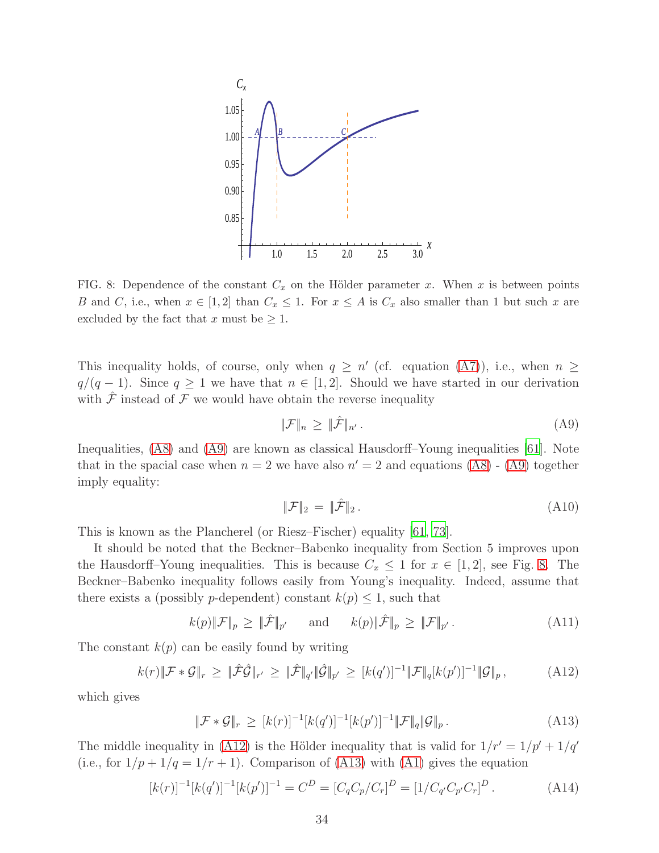

<span id="page-33-1"></span>FIG. 8: Dependence of the constant  $C_x$  on the Hölder parameter x. When x is between points B and C, i.e., when  $x \in [1,2]$  than  $C_x \leq 1$ . For  $x \leq A$  is  $C_x$  also smaller than 1 but such x are excluded by the fact that x must be  $\geq 1$ .

This inequality holds, of course, only when  $q \geq n'$  (cf. equation [\(A7\)](#page-32-4)), i.e., when  $n \geq$  $q/(q-1)$ . Since  $q \ge 1$  we have that  $n \in [1,2]$ . Should we have started in our derivation with  $\hat{\mathcal{F}}$  instead of  $\mathcal F$  we would have obtain the reverse inequality

<span id="page-33-0"></span>
$$
\|\mathcal{F}\|_n \ge \|\hat{\mathcal{F}}\|_{n'}.\tag{A9}
$$

Inequalities, [\(A8\)](#page-32-5) and [\(A9\)](#page-33-0) are known as classical Hausdorff–Young inequalities [\[61\]](#page-35-25). Note that in the spacial case when  $n = 2$  we have also  $n' = 2$  and equations [\(A8\)](#page-32-5) - [\(A9\)](#page-33-0) together imply equality:

$$
\|\mathcal{F}\|_2 = \|\hat{\mathcal{F}}\|_2. \tag{A10}
$$

This is known as the Plancherel (or Riesz–Fischer) equality [\[61](#page-35-25), [73](#page-36-12)].

It should be noted that the Beckner–Babenko inequality from Section 5 improves upon the Hausdorff–Young inequalities. This is because  $C_x \leq 1$  for  $x \in [1,2]$ , see Fig. [8.](#page-33-1) The Beckner–Babenko inequality follows easily from Young's inequality. Indeed, assume that there exists a (possibly *p*-dependent) constant  $k(p) \leq 1$ , such that

$$
k(p)\|\mathcal{F}\|_p \ge \|\hat{\mathcal{F}}\|_{p'} \quad \text{and} \quad k(p)\|\hat{\mathcal{F}}\|_p \ge \|\mathcal{F}\|_{p'}.
$$
 (A11)

The constant  $k(p)$  can be easily found by writing

<span id="page-33-2"></span>
$$
k(r)\|\mathcal{F}*\mathcal{G}\|_{r} \geq \|\hat{\mathcal{F}}\hat{\mathcal{G}}\|_{r'} \geq \|\hat{\mathcal{F}}\|_{q'}\|\hat{\mathcal{G}}\|_{p'} \geq [k(q')]^{-1} \|\mathcal{F}\|_{q}[k(p')]^{-1} \|\mathcal{G}\|_{p}, \tag{A12}
$$

which gives

<span id="page-33-3"></span>
$$
\|\mathcal{F} * \mathcal{G}\|_{r} \ge [k(r)]^{-1} [k(q')]^{-1} [k(p')]^{-1} \|\mathcal{F}\|_{q} \|\mathcal{G}\|_{p}.
$$
 (A13)

The middle inequality in [\(A12\)](#page-33-2) is the Hölder inequality that is valid for  $1/r' = 1/p' + 1/q'$ (i.e., for  $1/p + 1/q = 1/r + 1$ ). Comparison of [\(A13\)](#page-33-3) with [\(A1\)](#page-31-0) gives the equation

$$
[k(r)]^{-1}[k(q')]^{-1}[k(p')]^{-1} = C^D = [C_q C_p / C_r]^D = [1 / C_{q'} C_{p'} C_r]^D.
$$
 (A14)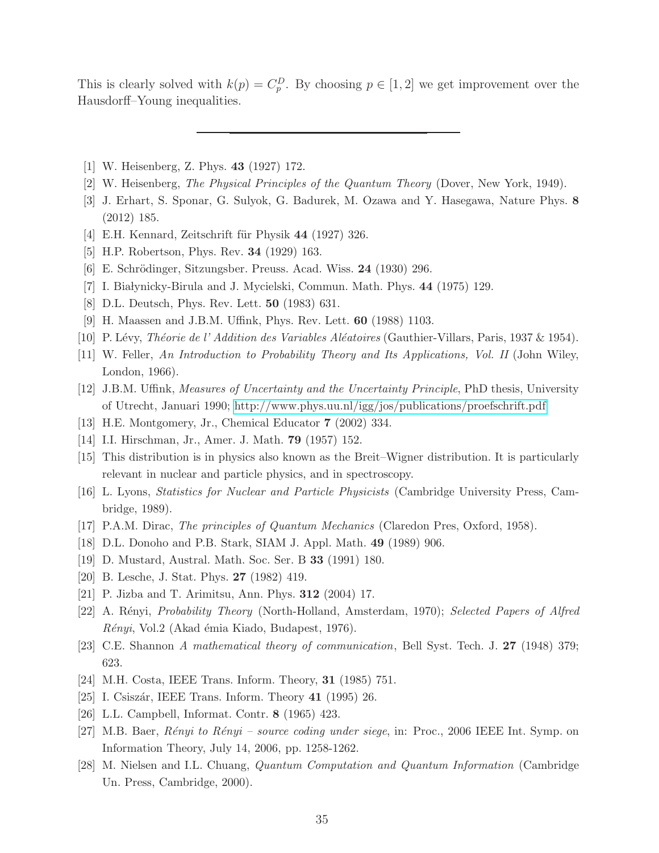This is clearly solved with  $k(p) = C_p^D$ . By choosing  $p \in [1, 2]$  we get improvement over the Hausdorff–Young inequalities.

- <span id="page-34-0"></span>[1] W. Heisenberg, Z. Phys. 43 (1927) 172.
- <span id="page-34-1"></span>[2] W. Heisenberg, The Physical Principles of the Quantum Theory (Dover, New York, 1949).
- <span id="page-34-2"></span>[3] J. Erhart, S. Sponar, G. Sulyok, G. Badurek, M. Ozawa and Y. Hasegawa, Nature Phys. 8 (2012) 185.
- <span id="page-34-3"></span>[4] E.H. Kennard, Zeitschrift für Physik  $44$  (1927) 326.
- <span id="page-34-23"></span>[5] H.P. Robertson, Phys. Rev. 34 (1929) 163.
- <span id="page-34-4"></span>[6] E. Schrödinger, Sitzungsber. Preuss. Acad. Wiss.  $24$  (1930) 296.
- <span id="page-34-8"></span>[7] I. Białynicky-Birula and J. Mycielski, Commun. Math. Phys. 44 (1975) 129.
- <span id="page-34-15"></span>[8] D.L. Deutsch, Phys. Rev. Lett. 50 (1983) 631.
- <span id="page-34-9"></span>[9] H. Maassen and J.B.M. Uffink, Phys. Rev. Lett. 60 (1988) 1103.
- <span id="page-34-12"></span>[10] P. Lévy, *Théorie de l' Addition des Variables Aléatoires* (Gauthier-Villars, Paris, 1937 & 1954).
- <span id="page-34-13"></span>[11] W. Feller, An Introduction to Probability Theory and Its Applications, Vol. II (John Wiley, London, 1966).
- <span id="page-34-10"></span>[12] J.B.M. Uffink, Measures of Uncertainty and the Uncertainty Principle, PhD thesis, University of Utrecht, Januari 1990;<http://www.phys.uu.nl/igg/jos/publications/proefschrift.pdf>
- [13] H.E. Montgomery, Jr., Chemical Educator 7 (2002) 334.
- <span id="page-34-11"></span>[14] I.I. Hirschman, Jr., Amer. J. Math. 79 (1957) 152.
- [15] This distribution is in physics also known as the Breit–Wigner distribution. It is particularly relevant in nuclear and particle physics, and in spectroscopy.
- <span id="page-34-14"></span>[16] L. Lyons, Statistics for Nuclear and Particle Physicists (Cambridge University Press, Cambridge, 1989).
- <span id="page-34-5"></span>[17] P.A.M. Dirac, The principles of Quantum Mechanics (Claredon Pres, Oxford, 1958).
- <span id="page-34-6"></span>[18] D.L. Donoho and P.B. Stark, SIAM J. Appl. Math. 49 (1989) 906.
- <span id="page-34-7"></span>[19] D. Mustard, Austral. Math. Soc. Ser. B 33 (1991) 180.
- <span id="page-34-16"></span>[20] B. Lesche, J. Stat. Phys. 27 (1982) 419.
- <span id="page-34-17"></span>[21] P. Jizba and T. Arimitsu, Ann. Phys. 312 (2004) 17.
- <span id="page-34-18"></span>[22] A. Rényi, Probability Theory (North-Holland, Amsterdam, 1970); Selected Papers of Alfred  $R\acute{e}nyi$ , Vol.2 (Akad émia Kiado, Budapest, 1976).
- <span id="page-34-24"></span>[23] C.E. Shannon A mathematical theory of communication, Bell Syst. Tech. J. 27 (1948) 379; 623.
- <span id="page-34-25"></span>[24] M.H. Costa, IEEE Trans. Inform. Theory, 31 (1985) 751.
- <span id="page-34-19"></span>[25] I. Csiszár, IEEE Trans. Inform. Theory 41 (1995) 26.
- <span id="page-34-20"></span>[26] L.L. Campbell, Informat. Contr. 8 (1965) 423.
- <span id="page-34-21"></span>[27] M.B. Baer, *Rényi to Rényi – source coding under siege*, in: Proc., 2006 IEEE Int. Symp. on Information Theory, July 14, 2006, pp. 1258-1262.
- <span id="page-34-22"></span>[28] M. Nielsen and I.L. Chuang, Quantum Computation and Quantum Information (Cambridge Un. Press, Cambridge, 2000).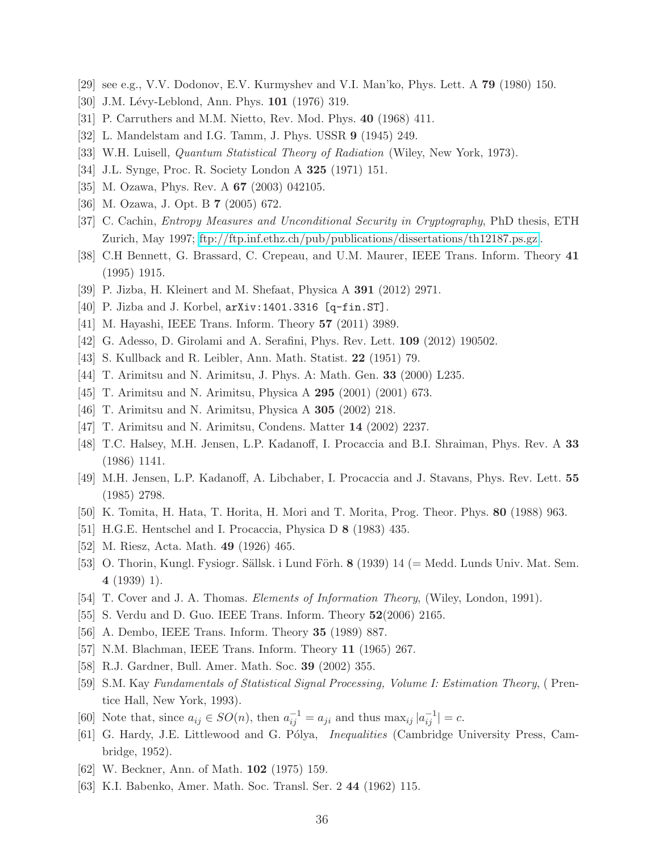- <span id="page-35-2"></span>[29] see e.g., V.V. Dodonov, E.V. Kurmyshev and V.I. Man'ko, Phys. Lett. A 79 (1980) 150.
- <span id="page-35-3"></span>[30] J.M. Lévy-Leblond, Ann. Phys. 101 (1976) 319.
- <span id="page-35-4"></span>[31] P. Carruthers and M.M. Nietto, Rev. Mod. Phys. 40 (1968) 411.
- <span id="page-35-5"></span>[32] L. Mandelstam and I.G. Tamm, J. Phys. USSR 9 (1945) 249.
- <span id="page-35-6"></span>[33] W.H. Luisell, Quantum Statistical Theory of Radiation (Wiley, New York, 1973).
- <span id="page-35-7"></span>[34] J.L. Synge, Proc. R. Society London A 325 (1971) 151.
- <span id="page-35-0"></span>[35] M. Ozawa, Phys. Rev. A 67 (2003) 042105.
- <span id="page-35-1"></span>[36] M. Ozawa, J. Opt. B 7 (2005) 672.
- <span id="page-35-8"></span>[37] C. Cachin, Entropy Measures and Unconditional Security in Cryptography, PhD thesis, ETH Zurich, May 1997;<ftp://ftp.inf.ethz.ch/pub/publications/dissertations/th12187.ps.gz>.
- <span id="page-35-9"></span>[38] C.H Bennett, G. Brassard, C. Crepeau, and U.M. Maurer, IEEE Trans. Inform. Theory 41 (1995) 1915.
- <span id="page-35-10"></span>[39] P. Jizba, H. Kleinert and M. Shefaat, Physica A 391 (2012) 2971.
- <span id="page-35-11"></span>[40] P. Jizba and J. Korbel, arXiv:1401.3316 [q-fin.ST].
- <span id="page-35-12"></span>[41] M. Hayashi, IEEE Trans. Inform. Theory 57 (2011) 3989.
- <span id="page-35-13"></span>[42] G. Adesso, D. Girolami and A. Serafini, Phys. Rev. Lett. 109 (2012) 190502.
- <span id="page-35-14"></span>[43] S. Kullback and R. Leibler, Ann. Math. Statist. 22 (1951) 79.
- <span id="page-35-15"></span>[44] T. Arimitsu and N. Arimitsu, J. Phys. A: Math. Gen. 33 (2000) L235.
- [45] T. Arimitsu and N. Arimitsu, Physica A 295 (2001) (2001) 673.
- [46] T. Arimitsu and N. Arimitsu, Physica A 305 (2002) 218.
- <span id="page-35-16"></span>[47] T. Arimitsu and N. Arimitsu, Condens. Matter 14 (2002) 2237.
- <span id="page-35-17"></span>[48] T.C. Halsey, M.H. Jensen, L.P. Kadanoff, I. Procaccia and B.I. Shraiman, Phys. Rev. A 33 (1986) 1141.
- [49] M.H. Jensen, L.P. Kadanoff, A. Libchaber, I. Procaccia and J. Stavans, Phys. Rev. Lett. 55 (1985) 2798.
- [50] K. Tomita, H. Hata, T. Horita, H. Mori and T. Morita, Prog. Theor. Phys. 80 (1988) 963.
- <span id="page-35-18"></span>[51] H.G.E. Hentschel and I. Procaccia, Physica D 8 (1983) 435.
- <span id="page-35-23"></span>[52] M. Riesz, Acta. Math. 49 (1926) 465.
- <span id="page-35-24"></span>[53] O. Thorin, Kungl. Fysiogr. Sällsk. i Lund Förh. 8 (1939)  $14$  (= Medd. Lunds Univ. Mat. Sem. 4 (1939) 1).
- <span id="page-35-19"></span>[54] T. Cover and J. A. Thomas. *Elements of Information Theory*, (Wiley, London, 1991).
- <span id="page-35-20"></span>[55] S. Verdu and D. Guo. IEEE Trans. Inform. Theory 52(2006) 2165.
- [56] A. Dembo, IEEE Trans. Inform. Theory 35 (1989) 887.
- <span id="page-35-21"></span>[57] N.M. Blachman, IEEE Trans. Inform. Theory 11 (1965) 267.
- <span id="page-35-22"></span>[58] R.J. Gardner, Bull. Amer. Math. Soc. 39 (2002) 355.
- [59] S.M. Kay Fundamentals of Statistical Signal Processing, Volume I: Estimation Theory, ( Prentice Hall, New York, 1993).
- <span id="page-35-26"></span>[60] Note that, since  $a_{ij} \in SO(n)$ , then  $a_{ij}^{-1} = a_{ji}$  and thus  $\max_{ij} |a_{ij}^{-1}| = c$ .
- <span id="page-35-25"></span>[61] G. Hardy, J.E. Littlewood and G. Pólya, *Inequalities* (Cambridge University Press, Cambridge, 1952).
- <span id="page-35-27"></span>[62] W. Beckner, Ann. of Math. 102 (1975) 159.
- <span id="page-35-28"></span>[63] K.I. Babenko, Amer. Math. Soc. Transl. Ser. 2 44 (1962) 115.